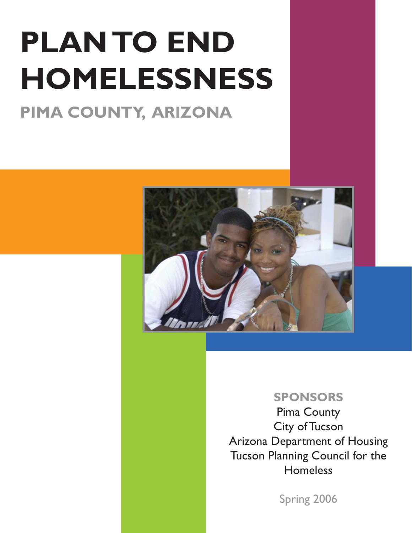# **PLAN TO END HOMELESSNESS PIMA COUNTY, ARIZONA**



# **SPONSORS**

Pima County City of Tucson Arizona Department of Housing Tucson Planning Council for the **Homeless** 

Spring 2006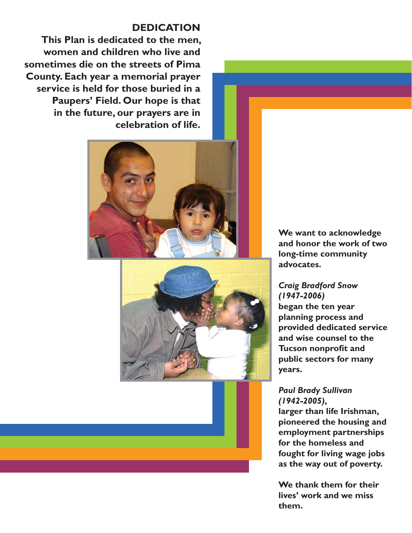# **DEDICATION**

**This Plan is dedicated to the men, women and children who live and sometimes die on the streets of Pima County. Each year a memorial prayer service is held for those buried in a Paupers' Field. Our hope is that in the future, our prayers are in celebration of life.**



**We want to acknowledge and honor the work of two long-time community advocates.**

*Craig Bradford Snow (1947-2006)* **began the ten year planning process and provided dedicated service and wise counsel to the Tucson nonprofit and public sectors for many years.**

# *Paul Brady Sullivan (1942-2005)***,**

**larger than life Irishman, pioneered the housing and employment partnerships for the homeless and fought for living wage jobs as the way out of poverty.**

**We thank them for their lives' work and we miss them.**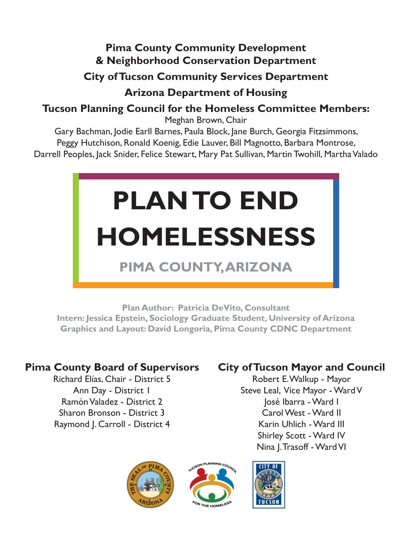# **Pima County Community Development & Neighborhood Conservation Department**

# **City of Tucson Community Services Department**

# **Arizona Department of Housing**

# **Tucson Planning Council for the Homeless Committee Members:**

Meghan Brown, Chair

Gary Bachman, Jodie Earll Barnes, Paula Block, Jane Burch, Georgia Fitzsimmons, Peggy Hutchison, Ronald Koenig, Edie Lauver, Bill Magnotto, Barbara Montrose, Darrell Peoples, Jack Snider, Felice Stewart, Mary Pat Sullivan, Martin Twohill, Martha Valado

# **PLAN TO END HOMELESSNESS**

# **PIMA COUNTY, ARIZONA**

**Plan Author: Patricia DeVito, Consultant Intern: Jessica Epstein, Sociology Graduate Student, University of Arizona Graphics and Layout: David Longoria, Pima County CDNC Department**

# **Pima County Board of Supervisors**

Richard Elías, Chair - District 5 Ann Day - District 1 Ramón Valadez - District 2 Sharon Bronson - District 3 Raymond J. Carroll - District 4

# **City of Tucson Mayor and Council**

Robert E. Walkup - Mayor Steve Leal, Vice Mayor - Ward V José Ibarra - Ward I Carol West - Ward II Karin Uhlich - Ward III Shirley Scott - Ward IV Nina J. Trasoff - Ward VI





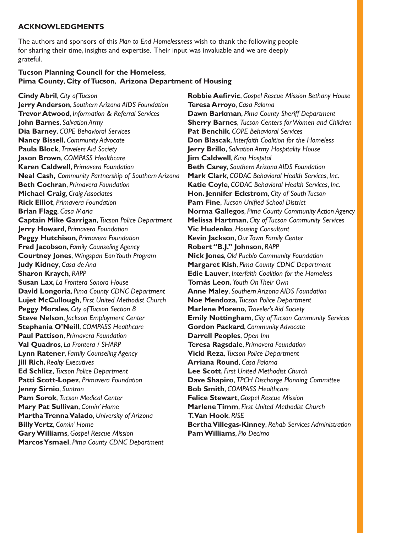#### **ACKNOWLEDGMENTS**

The authors and sponsors of this *Plan to End Homelessness* wish to thank the following people for sharing their time, insights and expertise. Their input was invaluable and we are deeply grateful.

# **Tucson Planning Council for the Homeless**, **Pima County**, **City of Tucson**, **Arizona Department of Housing**

**Jerry Anderson**, *Southern Arizona AIDS Foundation* **Teresa Arroyo***, Casa Paloma* **Trevor Atwood**, *Information & Referral Services* **Dawn Barkman**, *Pima County Sheriff Department* **Dia Barney**, *COPE Behavioral Services* **Pat Benchik**, *COPE Behavioral Services* **Nancy Bissell**, *Community Advocate* **Don Blascak**, *Interfaith Coalition for the Homeless* **Paula Block**, *Travelers Aid Society* **Jerry Brillo**, *Salvation Army Hospitality House* **Jason Brown**, *COMPASS Healthcare* **Jim Caldwell**, *Kino Hospital* **Karen Caldwell**, *Primavera Foundation* **Beth Carey**, *Southern Arizona AIDS Foundation* **Neal Cash,** *Community Partnership of Southern Arizona* **Mark Clark**, *CODAC Behavioral Health Services, Inc.*  **Beth Cochran**, *Primavera Foundation* **Katie Coyle**, *CODAC Behavioral Health Services, Inc.* **Michael Craig**, *Craig Associates* **Hon. Jennifer Eckstrom**, *City of South Tucson* **Rick Elliot**, *Primavera Foundation* **Pam Fine**, *Tucson Unified School District* **Jerry Howard**, *Primavera Foundation* **Vic Hudenko**, *Housing Consultant* **Peggy Hutchison**, *Primavera Foundation* **Kevin Jackson**, *Our Town Family Center* **Fred Jacobson**, *Family Counseling Agency* **Robert "B.J." Johnson**, *RAPP* **Courtney Jones**, *Wingspan Eon Youth Program* **Nick Jones**, *Old Pueblo Community Foundation* **Judy Kidney**, *Casa de Ana* **Margaret Kish**, *Pima County CDNC Department* **Sharon Kraych**, *RAPP* **Edie Lauver**, *Interfaith Coalition for the Homeless*  **Susan Lax**, *La Frontera Sonora House* **Tomás Leon**, *Youth On Their Own* **David Longoria**, *Pima County CDNC Department* **Anne Maley**, *Southern Arizona AIDS Foundation* **Lujet McCullough**, *First United Methodist Church* **Noe Mendoza**, *Tucson Police Department*  **Peggy Morales**, *City of Tucson Section 8* **Marlene Moreno**, *Traveler's Aid Society* **Stephania O'Neill**, *COMPASS Healthcare* **Gordon Packard**, *Community Advocate* **Paul Pattison**, *Primavera Foundation* **Darrell Peoples**, *Open Inn* **Val Quadros**, *La Frontera / SHARP* **Teresa Ragsdale**, *Primavera Foundation*  **Lynn Ratener**, *Family Counseling Agency* **Vicki Reza**, *Tucson Police Department*  **Jill Rich**, *Realty Executives* **Arriana Round**, *Casa Paloma* **Ed Schlitz**, *Tucson Police Department* **Lee Scott**, *First United Methodist Church*  **Patti Scott-Lopez**, *Primavera Foundation* **Dave Shapiro**, *TPCH Discharge Planning Committee* **Jenny Sirnio**, *Suntran* **Bob Smith**, *COMPASS Healthcare* **Pam Sorok**, *Tucson Medical Center* **Felice Stewart**, *Gospel Rescue Mission* **Mary Pat Sullivan**, *Comin'* Home **Marlene Timm**, *First United Methodist Church* **Marlene Timm**, *First United Methodist Church* **Martha Trenna Valado**, *University of Arizona* **T. Van Hook**, *RISE*  **Gary Williams**, *Gospel Rescue Mission* **Pam Williams**, *Pio Decimo*  **Marcos Ysmael**, *Pima County CDNC Department*

**Cindy Abril**, *City of Tucson* **Robbie Aefirvic**, *Gospel Rescue Mission Bethany House* **John Barnes**, *Salvation Army* **Sherry Barnes**, *Tucson Centers for Women and Children* **Brian Flagg**, *Casa Maria* **Norma Gallegos**, *Pima County Community Action Agency* **Captain Mike Garrigan**, *Tucson Police Department* **Melissa Hartman**, *City of Tucson Community Services* **Steve Nelson**, *Jackson Employment Center* **Emily Nottingham**, *City of Tucson Community Services*  **Billy Vertz**, *Comin' Home* **Bertha Villegas-Kinney**, *Rehab Services Administration*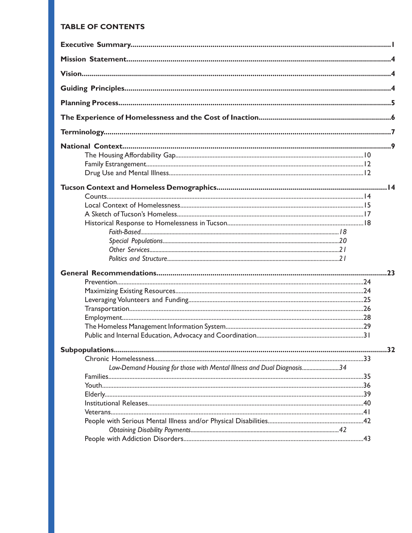# **TABLE OF CONTENTS**

| Low-Demand Housing for those with Mental Illness and Dual Diagnosis34 |  |
|-----------------------------------------------------------------------|--|
|                                                                       |  |
|                                                                       |  |
|                                                                       |  |
|                                                                       |  |
|                                                                       |  |
|                                                                       |  |
|                                                                       |  |
|                                                                       |  |
|                                                                       |  |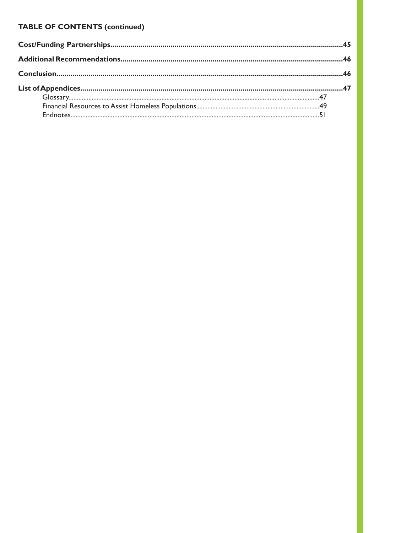# **TABLE OF CONTENTS (continued)**

| Additional Recommendations……………………………………………………………………………………………46 |  |
|-----------------------------------------------------------------|--|
|                                                                 |  |
|                                                                 |  |
|                                                                 |  |
|                                                                 |  |
|                                                                 |  |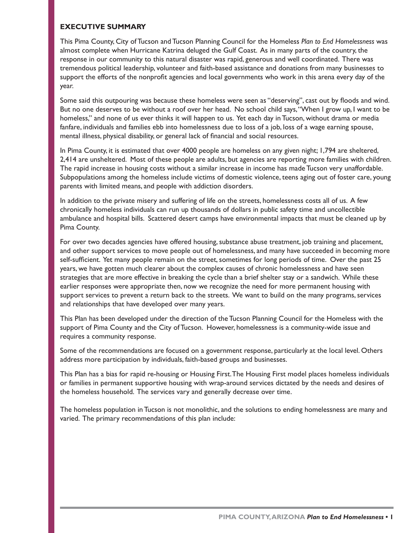# **EXECUTIVE SUMMARY**

This Pima County, City of Tucson and Tucson Planning Council for the Homeless *Plan to End Homelessness* was almost complete when Hurricane Katrina deluged the Gulf Coast. As in many parts of the country, the response in our community to this natural disaster was rapid, generous and well coordinated. There was tremendous political leadership, volunteer and faith-based assistance and donations from many businesses to support the efforts of the nonprofit agencies and local governments who work in this arena every day of the year.

Some said this outpouring was because these homeless were seen as "deserving", cast out by floods and wind. But no one deserves to be without a roof over her head. No school child says, "When I grow up, I want to be homeless," and none of us ever thinks it will happen to us. Yet each day in Tucson, without drama or media fanfare, individuals and families ebb into homelessness due to loss of a job, loss of a wage earning spouse, mental illness, physical disability, or general lack of financial and social resources.

In Pima County, it is estimated that over 4000 people are homeless on any given night; 1,794 are sheltered, 2,414 are unsheltered. Most of these people are adults, but agencies are reporting more families with children. The rapid increase in housing costs without a similar increase in income has made Tucson very unaffordable. Subpopulations among the homeless include victims of domestic violence, teens aging out of foster care, young parents with limited means, and people with addiction disorders.

In addition to the private misery and suffering of life on the streets, homelessness costs all of us. A few chronically homeless individuals can run up thousands of dollars in public safety time and uncollectible ambulance and hospital bills. Scattered desert camps have environmental impacts that must be cleaned up by Pima County.

For over two decades agencies have offered housing, substance abuse treatment, job training and placement, and other support services to move people out of homelessness, and many have succeeded in becoming more self-sufficient. Yet many people remain on the street, sometimes for long periods of time. Over the past 25 years, we have gotten much clearer about the complex causes of chronic homelessness and have seen strategies that are more effective in breaking the cycle than a brief shelter stay or a sandwich. While these earlier responses were appropriate then, now we recognize the need for more permanent housing with support services to prevent a return back to the streets. We want to build on the many programs, services and relationships that have developed over many years.

This Plan has been developed under the direction of the Tucson Planning Council for the Homeless with the support of Pima County and the City of Tucson. However, homelessness is a community-wide issue and requires a community response.

Some of the recommendations are focused on a government response, particularly at the local level. Others address more participation by individuals, faith-based groups and businesses.

This Plan has a bias for rapid re-housing or Housing First. The Housing First model places homeless individuals or families in permanent supportive housing with wrap-around services dictated by the needs and desires of the homeless household. The services vary and generally decrease over time.

The homeless population in Tucson is not monolithic, and the solutions to ending homelessness are many and varied. The primary recommendations of this plan include: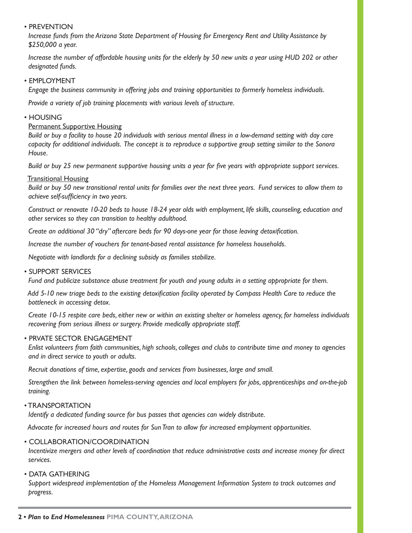# • PREVENTION

 *Increase funds from the Arizona State Department of Housing for Emergency Rent and Utility Assistance by \$250,000 a year.*

 *Increase the number of affordable housing units for the elderly by 50 new units a year using HUD 202 or other designated funds.*

# • EMPLOYMENT

*Engage the business community in offering jobs and training opportunities to formerly homeless individuals.*

*Provide a variety of job training placements with various levels of structure.*

# • HOUSING

# Permanent Supportive Housing

 *Build or buy a facility to house 20 individuals with serious mental illness in a low-demand setting with day care capacity for additional individuals. The concept is to reproduce a supportive group setting similar to the Sonora House.*

*Build or buy 25 new permanent supportive housing units a year for five years with appropriate support services.* 

# Transitional Housing

 *Build or buy 50 new transitional rental units for families over the next three years. Fund services to allow them to achieve self-sufficiency in two years.* 

 *Construct or renovate 10-20 beds to house 18-24 year olds with employment, life skills, counseling, education and other services so they can transition to healthy adulthood.*

*Create an additional 30 "dry" aftercare beds for 90 days-one year for those leaving detoxification.* 

 *Increase the number of vouchers for tenant-based rental assistance for homeless households.*

 *Negotiate with landlords for a declining subsidy as families stabilize.*

# • SUPPORT SERVICES

 *Fund and publicize substance abuse treatment for youth and young adults in a setting appropriate for them.*

Add 5-10 new triage beds to the existing detoxification facility operated by Compass Health Care to reduce the  *bottleneck in accessing detox.*

 *Create 10-15 respite care beds, either new or within an existing shelter or homeless agency, for homeless individuals recovering from serious illness or surgery. Provide medically appropriate staff.*

# • PRVATE SECTOR ENGAGEMENT

 *Enlist volunteers from faith communities, high schools, colleges and clubs to contribute time and money to agencies and in direct service to youth or adults.*

 *Recruit donations of time, expertise, goods and services from businesses, large and small.* 

 *Strengthen the link between homeless-serving agencies and local employers for jobs, apprenticeships and on-the-job training.*

# • TRANSPORTATION

*Identify a dedicated funding source for bus passes that agencies can widely distribute.*

 *Advocate for increased hours and routes for Sun Tran to allow for increased employment opportunities.*

# • COLLABORATION/COORDINATION

 *Incentivize mergers and other levels of coordination that reduce administrative costs and increase money for direct services.*

# • DATA GATHERING

 *Support widespread implementation of the Homeless Management Information System to track outcomes and progress.*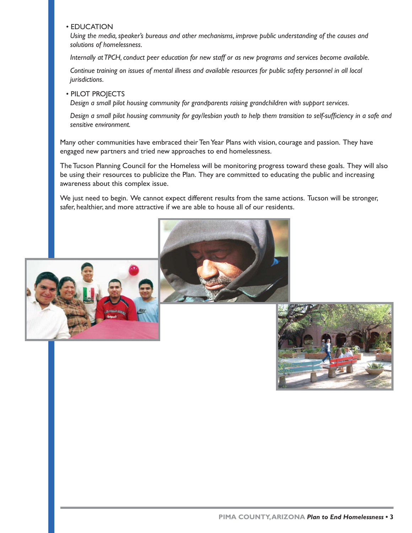# • EDUCATION

 *Using the media, speaker's bureaus and other mechanisms, improve public understanding of the causes and solutions of homelessness.*

 *Internally at TPCH, conduct peer education for new staff or as new programs and services become available.*

 *Continue training on issues of mental illness and available resources for public safety personnel in all local jurisdictions.*

# • PILOT PROJECTS

*Design a small pilot housing community for grandparents raising grandchildren with support services.*

Design a small pilot housing community for gay/lesbian youth to help them transition to self-sufficiency in a safe and  *sensitive environment.*

Many other communities have embraced their Ten Year Plans with vision, courage and passion. They have engaged new partners and tried new approaches to end homelessness.

The Tucson Planning Council for the Homeless will be monitoring progress toward these goals. They will also be using their resources to publicize the Plan. They are committed to educating the public and increasing awareness about this complex issue.

We just need to begin. We cannot expect different results from the same actions. Tucson will be stronger, safer, healthier, and more attractive if we are able to house all of our residents.





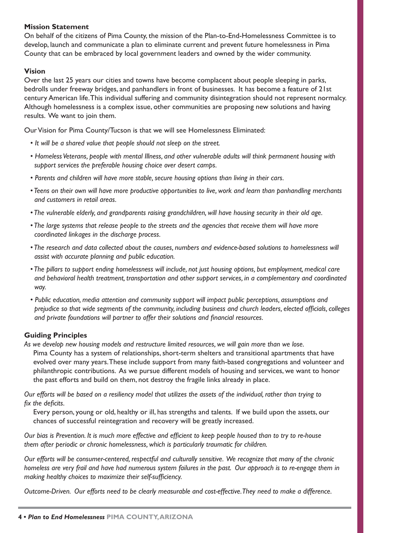# **Mission Statement**

On behalf of the citizens of Pima County, the mission of the Plan-to-End-Homelessness Committee is to develop, launch and communicate a plan to eliminate current and prevent future homelessness in Pima County that can be embraced by local government leaders and owned by the wider community.

# **Vision**

Over the last 25 years our cities and towns have become complacent about people sleeping in parks, bedrolls under freeway bridges, and panhandlers in front of businesses. It has become a feature of 21st century American life. This individual suffering and community disintegration should not represent normalcy. Although homelessness is a complex issue, other communities are proposing new solutions and having results. We want to join them.

Our Vision for Pima County/Tucson is that we will see Homelessness Eliminated:

- *It will be a shared value that people should not sleep on the street.*
- *Homeless Veterans, people with mental Illness, and other vulnerable adults will think permanent housing with support services the preferable housing choice over desert camps.*
- *Parents and children will have more stable, secure housing options than living in their cars.*
- *Teens on their own will have more productive opportunities to live, work and learn than panhandling merchants and customers in retail areas.*
- *The vulnerable elderly, and grandparents raising grandchildren, will have housing security in their old age.*
- *The large systems that release people to the streets and the agencies that receive them will have more coordinated linkages in the discharge process.*
- *The research and data collected about the causes, numbers and evidence-based solutions to homelessness will assist with accurate planning and public education.*
- *The pillars to support ending homelessness will include, not just housing options, but employment, medical care and behavioral health treatment, transportation and other support services, in a complementary and coordinated way.*
- *Public education, media attention and community support will impact public perceptions, assumptions and prejudice so that wide segments of the community, including business and church leaders, elected offi cials, colleges* and private foundations will partner to offer their solutions and financial resources.

# **Guiding Principles**

*As we develop new housing models and restructure limited resources, we will gain more than we lose.* Pima County has a system of relationships, short-term shelters and transitional apartments that have evolved over many years. These include support from many faith-based congregations and volunteer and philanthropic contributions. As we pursue different models of housing and services, we want to honor the past efforts and build on them, not destroy the fragile links already in place.

*Our efforts will be based on a resiliency model that utilizes the assets of the individual, rather than trying to* fix the deficits.

Every person, young or old, healthy or ill, has strengths and talents. If we build upon the assets, our chances of successful reintegration and recovery will be greatly increased.

*Our bias is Prevention. It is much more effective and efficient to keep people housed than to try to re-house them after periodic or chronic homelessness, which is particularly traumatic for children.* 

*Our efforts will be consumer-centered, respectful and culturally sensitive. We recognize that many of the chronic homeless are very frail and have had numerous system failures in the past. Our approach is to re-engage them in making healthy choices to maximize their self-sufficiency.* 

*Outcome-Driven. Our efforts need to be clearly measurable and cost-effective. They need to make a difference.*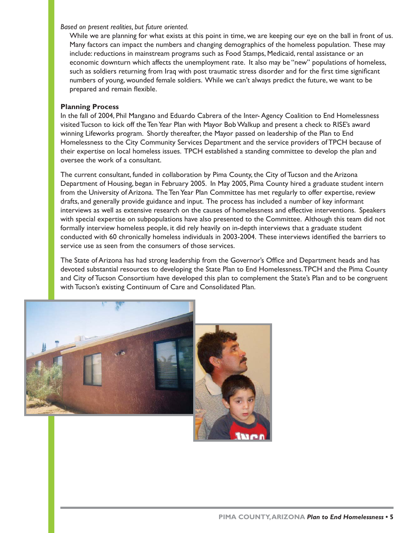#### *Based on present realities, but future oriented.*

While we are planning for what exists at this point in time, we are keeping our eye on the ball in front of us. Many factors can impact the numbers and changing demographics of the homeless population. These may include: reductions in mainstream programs such as Food Stamps, Medicaid, rental assistance or an economic downturn which affects the unemployment rate. It also may be "new" populations of homeless, such as soldiers returning from Iraq with post traumatic stress disorder and for the first time significant numbers of young, wounded female soldiers. While we can't always predict the future, we want to be prepared and remain flexible.

# **Planning Process**

**homelessness."**

In the fall of 2004, Phil Mangano and Eduardo Cabrera of the Inter- Agency Coalition to End Homelessness visited Tucson to kick off the Ten Year Plan with Mayor Bob Walkup and present a check to RISE's award winning Lifeworks program. Shortly thereafter, the Mayor passed on leadership of the Plan to End Homelessness to the City Community Services Department and the service providers of TPCH because of their expertise on local homeless issues. TPCH established a standing committee to develop the plan and oversee the work of a consultant.

The current consultant, funded in collaboration by Pima County, the City of Tucson and the Arizona Department of Housing, began in February 2005. In May 2005, Pima County hired a graduate student intern from the University of Arizona. The Ten Year Plan Committee has met regularly to offer expertise, review drafts, and generally provide guidance and input. The process has included a number of key informant interviews as well as extensive research on the causes of homelessness and effective interventions. Speakers with special expertise on subpopulations have also presented to the Committee. Although this team did not formally interview homeless people, it did rely heavily on in-depth interviews that a graduate student conducted with 60 chronically homeless individuals in 2003-2004. These interviews identified the barriers to service use as seen from the consumers of those services.

devoted substantial resources to developing the State Plan to End Homelessness. TPCH and the Pima County **example to a little state of the state of the state of the Second Consolidated Plan.** The State of Arizona has had strong leadership from the Governor's Office and Department heads and has and City of Tucson Consortium have developed this plan to complement the State's Plan and to be congruent

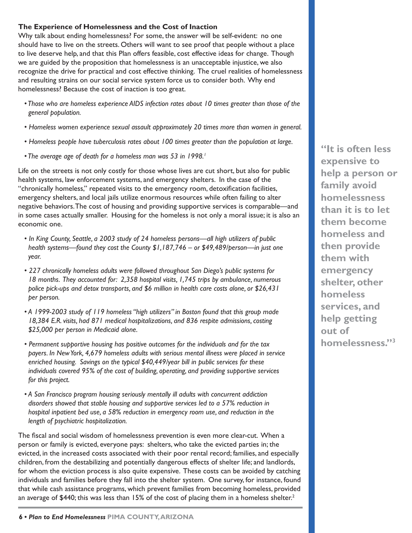# **The Experience of Homelessness and the Cost of Inaction**

Why talk about ending homelessness? For some, the answer will be self-evident: no one should have to live on the streets. Others will want to see proof that people without a place to live deserve help, and that this Plan offers feasible, cost effective ideas for change. Though we are guided by the proposition that homelessness is an unacceptable injustice, we also recognize the drive for practical and cost effective thinking. The cruel realities of homelessness and resulting strains on our social service system force us to consider both. Why end homelessness? Because the cost of inaction is too great.

- *Those who are homeless experience AIDS infection rates about 10 times greater than those of the general population.*
- *Homeless women experience sexual assault approximately 20 times more than women in general.*
- *Homeless people have tuberculosis rates about 100 times greater than the population at large.*
- The average age of death for a homeless man was 53 in 1998.<sup>1</sup>

Life on the streets is not only costly for those whose lives are cut short, but also for public health systems, law enforcement systems, and emergency shelters. In the case of the "chronically homeless," repeated visits to the emergency room, detoxification facilities, emergency shelters, and local jails utilize enormous resources while often failing to alter negative behaviors. The cost of housing and providing supportive services is comparable—and in some cases actually smaller. Housing for the homeless is not only a moral issue; it is also an economic one.

- *In King County, Seattle, a 2003 study of 24 homeless persons—all high utilizers of public health systems—found they cost the County \$1,187,746 – or \$49,489/person—in just one year.*
- *227 chronically homeless adults were followed throughout San Diego's public systems for 18 months. They accounted for: 2,358 hospital visits, 1,745 trips by ambulance, numerous police pick-ups and detox transports, and \$6 million in health care costs alone, or \$26,431 per person.*
- *A 1999-2003 study of 119 homeless "high utilizers" in Boston found that this group made 18,384 E.R. visits, had 871 medical hospitalizations, and 836 respite admissions, costing \$25,000 per person in Medicaid alone.*
- *Permanent supportive housing has positive outcomes for the individuals and for the tax payers. In New York, 4,679 homeless adults with serious mental illness were placed in service enriched housing. Savings on the typical \$40,449/year bill in public services for these individuals covered 95% of the cost of building, operating, and providing supportive services for this project.*
- *A San Francisco program housing seriously mentally ill adults with concurrent addiction disorders showed that stable housing and supportive services led to a 57% reduction in hospital inpatient bed use, a 58% reduction in emergency room use, and reduction in the length of psychiatric hospitalization.*

The fiscal and social wisdom of homelessness prevention is even more clear-cut. When a person or family is evicted, everyone pays: shelters, who take the evicted parties in; the evicted, in the increased costs associated with their poor rental record; families, and especially children, from the destabilizing and potentially dangerous effects of shelter life; and landlords, for whom the eviction process is also quite expensive. These costs can be avoided by catching individuals and families before they fall into the shelter system. One survey, for instance, found that while cash assistance programs, which prevent families from becoming homeless, provided an average of \$440; this was less than 15% of the cost of placing them in a homeless shelter.<sup>2</sup>

**"It is often less expensive to help a person or family avoid homelessness than it is to let them become homeless and then provide them with emergency shelter, other homeless services, and help getting out of homelessness."3**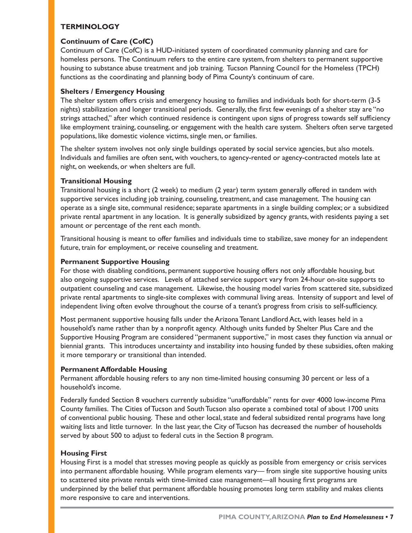# **TERMINOLOGY**

# **Continuum of Care (CofC)**

Continuum of Care (CofC) is a HUD-initiated system of coordinated community planning and care for homeless persons. The Continuum refers to the entire care system, from shelters to permanent supportive housing to substance abuse treatment and job training. Tucson Planning Council for the Homeless (TPCH) functions as the coordinating and planning body of Pima County's continuum of care.

# **Shelters / Emergency Housing**

The shelter system offers crisis and emergency housing to families and individuals both for short-term (3-5 nights) stabilization and longer transitional periods. Generally, the first few evenings of a shelter stay are "no strings attached," after which continued residence is contingent upon signs of progress towards self sufficiency like employment training, counseling, or engagement with the health care system. Shelters often serve targeted populations, like domestic violence victims, single men, or families.

The shelter system involves not only single buildings operated by social service agencies, but also motels. Individuals and families are often sent, with vouchers, to agency-rented or agency-contracted motels late at night, on weekends, or when shelters are full.

# **Transitional Housing**

Transitional housing is a short (2 week) to medium (2 year) term system generally offered in tandem with supportive services including job training, counseling, treatment, and case management. The housing can operate as a single site, communal residence; separate apartments in a single building complex; or a subsidized private rental apartment in any location. It is generally subsidized by agency grants, with residents paying a set amount or percentage of the rent each month.

Transitional housing is meant to offer families and individuals time to stabilize, save money for an independent future, train for employment, or receive counseling and treatment.

# **Permanent Supportive Housing**

For those with disabling conditions, permanent supportive housing offers not only affordable housing, but also ongoing supportive services. Levels of attached service support vary from 24-hour on-site supports to outpatient counseling and case management. Likewise, the housing model varies from scattered site, subsidized private rental apartments to single-site complexes with communal living areas. Intensity of support and level of independent living often evolve throughout the course of a tenant's progress from crisis to self-sufficiency.

Most permanent supportive housing falls under the Arizona Tenant Landlord Act, with leases held in a household's name rather than by a nonprofit agency. Although units funded by Shelter Plus Care and the Supportive Housing Program are considered "permanent supportive," in most cases they function via annual or biennial grants. This introduces uncertainty and instability into housing funded by these subsidies, often making it more temporary or transitional than intended.

# **Permanent Affordable Housing**

Permanent affordable housing refers to any non time-limited housing consuming 30 percent or less of a household's income.

Federally funded Section 8 vouchers currently subsidize "unaffordable" rents for over 4000 low-income Pima County families. The Cities of Tucson and South Tucson also operate a combined total of about 1700 units of conventional public housing. These and other local, state and federal subsidized rental programs have long waiting lists and little turnover. In the last year, the City of Tucson has decreased the number of households served by about 500 to adjust to federal cuts in the Section 8 program.

# **Housing First**

Housing First is a model that stresses moving people as quickly as possible from emergency or crisis services into permanent affordable housing. While program elements vary— from single site supportive housing units to scattered site private rentals with time-limited case management—all housing first programs are underpinned by the belief that permanent affordable housing promotes long term stability and makes clients more responsive to care and interventions.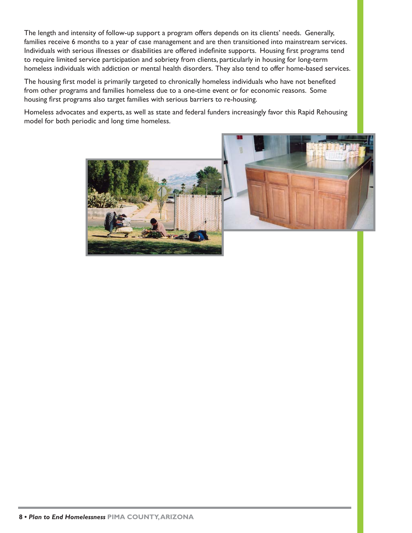The length and intensity of follow-up support a program offers depends on its clients' needs. Generally, families receive 6 months to a year of case management and are then transitioned into mainstream services. Individuals with serious illnesses or disabilities are offered indefinite supports. Housing first programs tend to require limited service participation and sobriety from clients, particularly in housing for long-term homeless individuals with addiction or mental health disorders. They also tend to offer home-based services.

The housing first model is primarily targeted to chronically homeless individuals who have not benefited from other programs and families homeless due to a one-time event or for economic reasons. Some housing first programs also target families with serious barriers to re-housing.

Homeless advocates and experts, as well as state and federal funders increasingly favor this Rapid Rehousing model for both periodic and long time homeless.

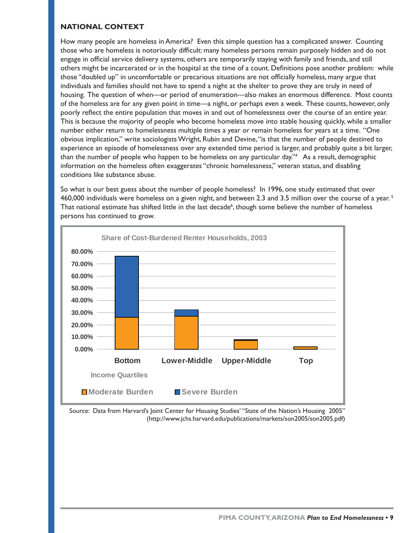# **NATIONAL CONTEXT**

How many people are homeless in America? Even this simple question has a complicated answer. Counting those who are homeless is notoriously difficult: many homeless persons remain purposely hidden and do not engage in official service delivery systems, others are temporarily staying with family and friends, and still others might be incarcerated or in the hospital at the time of a count. Definitions pose another problem: while those "doubled up" in uncomfortable or precarious situations are not officially homeless, many argue that individuals and families should not have to spend a night at the shelter to prove they are truly in need of housing. The question of when—or period of enumeration—also makes an enormous difference. Most counts of the homeless are for any given point in time—a night, or perhaps even a week. These counts, however, only poorly reflect the entire population that moves in and out of homelessness over the course of an entire year. This is because the majority of people who become homeless move into stable housing quickly, while a smaller number either return to homelessness multiple times a year or remain homeless for years at a time. "One obvious implication," write sociologists Wright, Rubin and Devine, "is that the number of people destined to experience an episode of homelessness over any extended time period is larger, and probably quite a bit larger, than the number of people who happen to be homeless on any particular day."4 As a result, demographic information on the homeless often exaggerates "chronic homelessness," veteran status, and disabling conditions like substance abuse.

So what is our best guess about the number of people homeless? In 1996, one study estimated that over 460,000 individuals were homeless on a given night, and between 2.3 and 3.5 million over the course of a year.<sup>5</sup> That national estimate has shifted little in the last decade<sup>6</sup>, though some believe the number of homeless persons has continued to grow.



Source: Data from Harvard's Joint Center for Housing Studies' "State of the Nation's Housing 2005" (http://www.jchs.harvard.edu/publications/markets/son2005/son2005.pdf)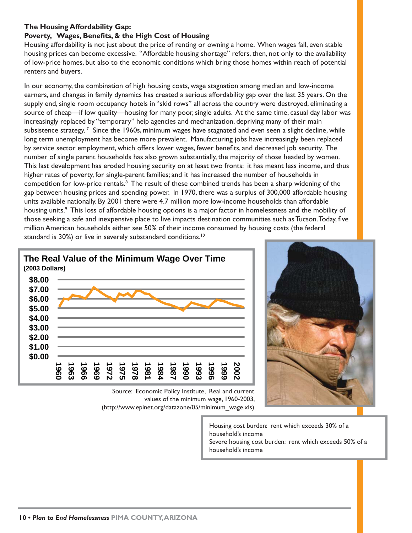# **The Housing Affordability Gap:**

# Poverty, Wages, Benefits, & the High Cost of Housing

Housing affordability is not just about the price of renting or owning a home. When wages fall, even stable housing prices can become excessive. "Affordable housing shortage" refers, then, not only to the availability of low-price homes, but also to the economic conditions which bring those homes within reach of potential renters and buyers.

In our economy, the combination of high housing costs, wage stagnation among median and low-income earners, and changes in family dynamics has created a serious affordability gap over the last 35 years. On the supply end, single room occupancy hotels in "skid rows" all across the country were destroyed, eliminating a source of cheap—if low quality—housing for many poor, single adults. At the same time, casual day labor was increasingly replaced by "temporary" help agencies and mechanization, depriving many of their main subsistence strategy.<sup>7</sup> Since the 1960s, minimum wages have stagnated and even seen a slight decline, while long term unemployment has become more prevalent. Manufacturing jobs have increasingly been replaced by service sector employment, which offers lower wages, fewer benefits, and decreased job security. The number of single parent households has also grown substantially, the majority of those headed by women. This last development has eroded housing security on at least two fronts: it has meant less income, and thus higher rates of poverty, for single-parent families; and it has increased the number of households in competition for low-price rentals.<sup>8</sup> The result of these combined trends has been a sharp widening of the gap between housing prices and spending power. In 1970, there was a surplus of 300,000 affordable housing units available nationally. By 2001 there were 4.7 million more low-income households than affordable housing units.<sup>9</sup> This loss of affordable housing options is a major factor in homelessness and the mobility of those seeking a safe and inexpensive place to live impacts destination communities such as Tucson. Today, five million American households either see 50% of their income consumed by housing costs (the federal standard is 30%) or live in severely substandard conditions.<sup>10</sup>





Source: Economic Policy Institute, Real and current values of the minimum wage, 1960-2003, (http://www.epinet.org/datazone/05/minimum\_wage.xls)

> Housing cost burden: rent which exceeds 30% of a household's income Severe housing cost burden: rent which exceeds 50% of a household's income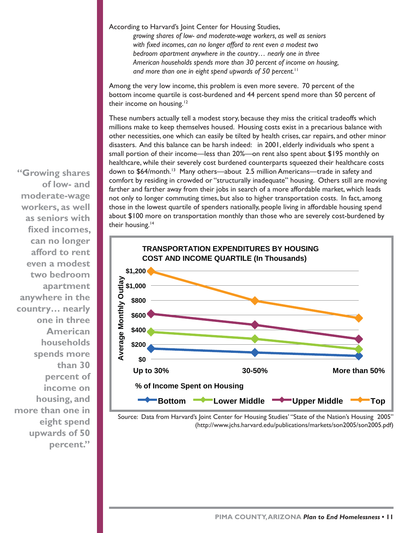According to Harvard's Joint Center for Housing Studies,

*growing shares of low- and moderate-wage workers, as well as seniors* with fixed incomes, can no longer afford to rent even a modest two *bedroom apartment anywhere in the country… nearly one in three American households spends more than 30 percent of income on housing, and more than one in eight spend upwards of 50 percent.*<sup>11</sup>

Among the very low income, this problem is even more severe. 70 percent of the bottom income quartile is cost-burdened and 44 percent spend more than 50 percent of their income on housing.<sup>12</sup>

These numbers actually tell a modest story, because they miss the critical tradeoffs which millions make to keep themselves housed. Housing costs exist in a precarious balance with other necessities, one which can easily be tilted by health crises, car repairs, and other minor disasters. And this balance can be harsh indeed: in 2001, elderly individuals who spent a small portion of their income—less than 20%—on rent also spent about \$195 monthly on healthcare, while their severely cost burdened counterparts squeezed their healthcare costs down to \$64/month.<sup>13</sup> Many others—about 2.5 million Americans—trade in safety and comfort by residing in crowded or "structurally inadequate" housing. Others still are moving farther and farther away from their jobs in search of a more affordable market, which leads not only to longer commuting times, but also to higher transportation costs. In fact, among those in the lowest quartile of spenders nationally, people living in affordable housing spend about \$100 more on transportation monthly than those who are severely cost-burdened by their housing.<sup>14</sup>



Source: Data from Harvard's Joint Center for Housing Studies' "State of the Nation's Housing 2005" (http://www.jchs.harvard.edu/publications/markets/son2005/son2005.pdf)

**"Growing shares of low- and moderate-wage workers, as well as seniors with**  fixed incomes. **can no longer afford to rent even a modest two bedroom apartment anywhere in the country… nearly one in three American households spends more than 30 percent of income on housing, and more than one in eight spend upwards of 50 percent."**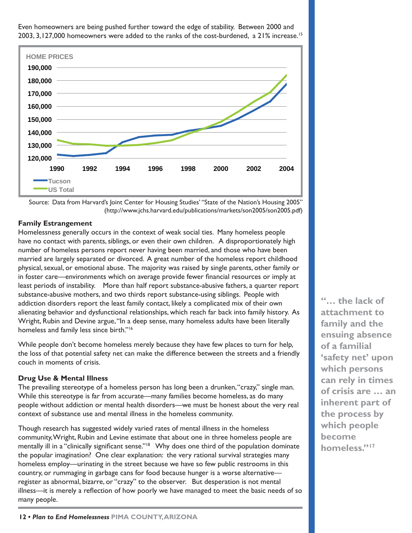

Even homeowners are being pushed further toward the edge of stability. Between 2000 and 2003, 3,127,000 homeowners were added to the ranks of the cost-burdened, a 21% increase.<sup>15</sup>

Source: Data from Harvard's Joint Center for Housing Studies' "State of the Nation's Housing 2005" (http://www.jchs.harvard.edu/publications/markets/son2005/son2005.pdf)

# **Family Estrangement**

Homelessness generally occurs in the context of weak social ties. Many homeless people have no contact with parents, siblings, or even their own children. A disproportionately high number of homeless persons report never having been married, and those who have been married are largely separated or divorced. A great number of the homeless report childhood physical, sexual, or emotional abuse. The majority was raised by single parents, other family or in foster care—environments which on average provide fewer financial resources or imply at least periods of instability. More than half report substance-abusive fathers, a quarter report substance-abusive mothers, and two thirds report substance-using siblings. People with addiction disorders report the least family contact, likely a complicated mix of their own alienating behavior and dysfunctional relationships, which reach far back into family history. As Wright, Rubin and Devine argue, "In a deep sense, many homeless adults have been literally homeless and family less since birth."<sup>16</sup>

While people don't become homeless merely because they have few places to turn for help, the loss of that potential safety net can make the difference between the streets and a friendly couch in moments of crisis.

# **Drug Use & Mental Illness**

The prevailing stereotype of a homeless person has long been a drunken, "crazy," single man. While this stereotype is far from accurate—many families become homeless, as do many people without addiction or mental health disorders—we must be honest about the very real context of substance use and mental illness in the homeless community.

Though research has suggested widely varied rates of mental illness in the homeless community, Wright, Rubin and Levine estimate that about one in three homeless people are mentally ill in a "clinically significant sense."<sup>18</sup> Why does one third of the population dominate the popular imagination? One clear explanation: the very rational survival strategies many homeless employ—urinating in the street because we have so few public restrooms in this country, or rummaging in garbage cans for food because hunger is a worse alternative register as abnormal, bizarre, or "crazy" to the observer. But desperation is not mental illness—it is merely a reflection of how poorly we have managed to meet the basic needs of so many people.

**"… the lack of attachment to family and the ensuing absence of a familial 'safety net' upon which persons can rely in times of crisis are … an inherent part of the process by which people become homeless."17**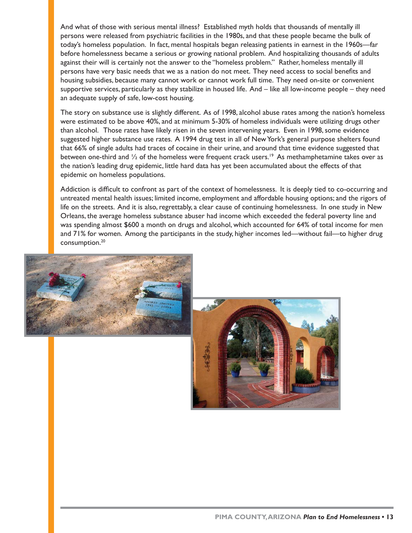And what of those with serious mental illness? Established myth holds that thousands of mentally ill persons were released from psychiatric facilities in the 1980s, and that these people became the bulk of today's homeless population. In fact, mental hospitals began releasing patients in earnest in the 1960s—far before homelessness became a serious or growing national problem. And hospitalizing thousands of adults against their will is certainly not the answer to the "homeless problem." Rather, homeless mentally ill persons have very basic needs that we as a nation do not meet. They need access to social benefits and housing subsidies, because many cannot work or cannot work full time. They need on-site or convenient supportive services, particularly as they stabilize in housed life. And – like all low-income people – they need an adequate supply of safe, low-cost housing.

The story on substance use is slightly different. As of 1998, alcohol abuse rates among the nation's homeless were estimated to be above 40%, and at minimum 5-30% of homeless individuals were utilizing drugs other than alcohol. Those rates have likely risen in the seven intervening years. Even in 1998, some evidence suggested higher substance use rates. A 1994 drug test in all of New York's general purpose shelters found that 66% of single adults had traces of cocaine in their urine, and around that time evidence suggested that between one-third and  $\frac{1}{2}$  of the homeless were frequent crack users.<sup>19</sup> As methamphetamine takes over as the nation's leading drug epidemic, little hard data has yet been accumulated about the effects of that epidemic on homeless populations.

Addiction is difficult to confront as part of the context of homelessness. It is deeply tied to co-occurring and untreated mental health issues; limited income, employment and affordable housing options; and the rigors of life on the streets. And it is also, regrettably, a clear cause of continuing homelessness. In one study in New Orleans, the average homeless substance abuser had income which exceeded the federal poverty line and was spending almost \$600 a month on drugs and alcohol, which accounted for 64% of total income for men and 71% for women. Among the participants in the study, higher incomes led—without fail—to higher drug consumption.20



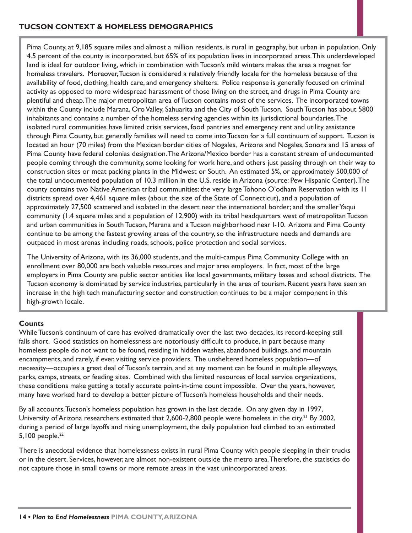# **TUCSON CONTEXT & HOMELESS DEMOGRAPHICS**

Pima County, at 9,185 square miles and almost a million residents, is rural in geography, but urban in population. Only 4.5 percent of the county is incorporated, but 65% of its population lives in incorporated areas. This underdeveloped land is ideal for outdoor living, which in combination with Tucson's mild winters makes the area a magnet for homeless travelers. Moreover, Tucson is considered a relatively friendly locale for the homeless because of the availability of food, clothing, health care, and emergency shelters. Police response is generally focused on criminal activity as opposed to more widespread harassment of those living on the street, and drugs in Pima County are plentiful and cheap. The major metropolitan area of Tucson contains most of the services. The incorporated towns within the County include Marana, Oro Valley, Sahuarita and the City of South Tucson. South Tucson has about 5800 inhabitants and contains a number of the homeless serving agencies within its jurisdictional boundaries. The isolated rural communities have limited crisis services, food pantries and emergency rent and utility assistance through Pima County, but generally families will need to come into Tucson for a full continuum of support. Tucson is located an hour (70 miles) from the Mexican border cities of Nogales, Arizona and Nogales, Sonora and 15 areas of Pima County have federal colonias designation. The Arizona/Mexico border has a constant stream of undocumented people coming through the community, some looking for work here, and others just passing through on their way to construction sites or meat packing plants in the Midwest or South. An estimated 5%, or approximately 500,000 of the total undocumented population of 10.3 million in the U.S. reside in Arizona (source: Pew Hispanic Center). The county contains two Native American tribal communities: the very large Tohono O'odham Reservation with its 11 districts spread over 4,461 square miles (about the size of the State of Connecticut), and a population of approximately 27,500 scattered and isolated in the desert near the international border; and the smaller Yaqui community (1.4 square miles and a population of 12,900) with its tribal headquarters west of metropolitan Tucson and urban communities in South Tucson, Marana and a Tucson neighborhood near I-10. Arizona and Pima County continue to be among the fastest growing areas of the country, so the infrastructure needs and demands are outpaced in most arenas including roads, schools, police protection and social services.

The University of Arizona, with its 36,000 students, and the multi-campus Pima Community College with an enrollment over 80,000 are both valuable resources and major area employers. In fact, most of the large employers in Pima County are public sector entities like local governments, military bases and school districts. The Tucson economy is dominated by service industries, particularly in the area of tourism. Recent years have seen an increase in the high tech manufacturing sector and construction continues to be a major component in this high-growth locale.

# **Counts**

While Tucson's continuum of care has evolved dramatically over the last two decades, its record-keeping still falls short. Good statistics on homelessness are notoriously difficult to produce, in part because many homeless people do not want to be found, residing in hidden washes, abandoned buildings, and mountain encampments, and rarely, if ever, visiting service providers. The unsheltered homeless population—of necessity—occupies a great deal of Tucson's terrain, and at any moment can be found in multiple alleyways, parks, camps, streets, or feeding sites. Combined with the limited resources of local service organizations, these conditions make getting a totally accurate point-in-time count impossible. Over the years, however, many have worked hard to develop a better picture of Tucson's homeless households and their needs.

By all accounts, Tucson's homeless population has grown in the last decade. On any given day in 1997, University of Arizona researchers estimated that 2,600-2,800 people were homeless in the city.<sup>21</sup> By 2002, during a period of large layoffs and rising unemployment, the daily population had climbed to an estimated 5,100 people.<sup>22</sup>

There is anecdotal evidence that homelessness exists in rural Pima County with people sleeping in their trucks or in the desert. Services, however, are almost non-existent outside the metro area. Therefore, the statistics do not capture those in small towns or more remote areas in the vast unincorporated areas.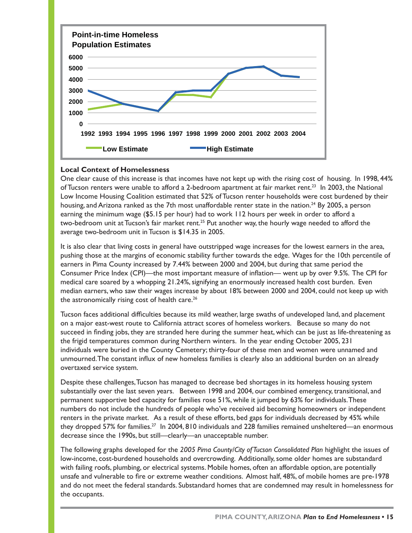

# **Local Context of Homelessness**

One clear cause of this increase is that incomes have not kept up with the rising cost of housing. In 1998, 44% of Tucson renters were unable to afford a 2-bedroom apartment at fair market rent.<sup>23</sup> In 2003, the National Low Income Housing Coalition estimated that 52% of Tucson renter households were cost burdened by their housing, and Arizona ranked as the 7th most unaffordable renter state in the nation.<sup>24</sup> By 2005, a person earning the minimum wage (\$5.15 per hour) had to work 112 hours per week in order to afford a two-bedroom unit at Tucson's fair market rent.<sup>25</sup> Put another way, the hourly wage needed to afford the average two-bedroom unit in Tucson is \$14.35 in 2005.

It is also clear that living costs in general have outstripped wage increases for the lowest earners in the area, pushing those at the margins of economic stability further towards the edge. Wages for the 10th percentile of earners in Pima County increased by 7.44% between 2000 and 2004, but during that same period the Consumer Price Index (CPI)—the most important measure of inflation— went up by over 9.5%. The CPI for medical care soared by a whopping 21.24%, signifying an enormously increased health cost burden. Even median earners, who saw their wages increase by about 18% between 2000 and 2004, could not keep up with the astronomically rising cost of health care.<sup>26</sup>

Tucson faces additional difficulties because its mild weather, large swaths of undeveloped land, and placement on a major east-west route to California attract scores of homeless workers. Because so many do not succeed in finding jobs, they are stranded here during the summer heat, which can be just as life-threatening as the frigid temperatures common during Northern winters. In the year ending October 2005, 231 individuals were buried in the County Cemetery; thirty-four of these men and women were unnamed and unmourned. The constant influx of new homeless families is clearly also an additional burden on an already overtaxed service system.

Despite these challenges, Tucson has managed to decrease bed shortages in its homeless housing system substantially over the last seven years. Between 1998 and 2004, our combined emergency, transitional, and permanent supportive bed capacity for families rose 51%, while it jumped by 63% for individuals. These numbers do not include the hundreds of people who've received aid becoming homeowners or independent renters in the private market. As a result of these efforts, bed gaps for individuals decreased by 45% while they dropped 57% for families.<sup>27</sup> In 2004, 810 individuals and 228 families remained unsheltered—an enormous decrease since the 1990s, but still—clearly—an unacceptable number.

The following graphs developed for the *2005 Pima County/City of Tucson Consolidated Plan* highlight the issues of low-income, cost-burdened households and overcrowding. Additionally, some older homes are substandard with failing roofs, plumbing, or electrical systems. Mobile homes, often an affordable option, are potentially unsafe and vulnerable to fire or extreme weather conditions. Almost half, 48%, of mobile homes are pre-1978 and do not meet the federal standards. Substandard homes that are condemned may result in homelessness for the occupants.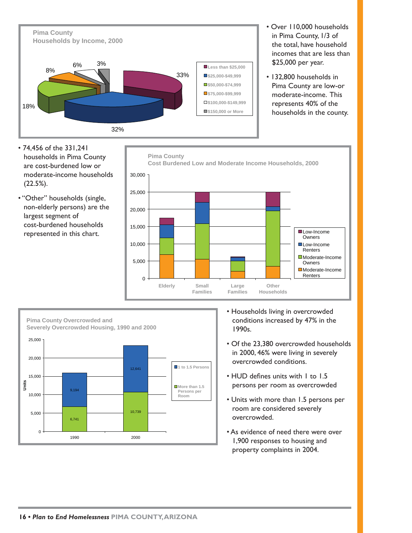

- Over 110,000 households in Pima County, 1/3 of the total, have household incomes that are less than \$25,000 per year.
- 132,800 households in Pima County are low-or moderate-income. This represents 40% of the households in the county.

- 74,456 of the 331,241 households in Pima County are cost-burdened low or moderate-income households (22.5%).
- "Other" households (single, non-elderly persons) are the largest segment of cost-burdened households represented in this chart.





- Households living in overcrowded conditions increased by 47% in the 1990s.
- Of the 23,380 overcrowded households in 2000, 46% were living in severely overcrowded conditions.
- HUD defines units with I to 1.5 persons per room as overcrowded
- Units with more than 1.5 persons per room are considered severely overcrowded.
- As evidence of need there were over 1,900 responses to housing and property complaints in 2004.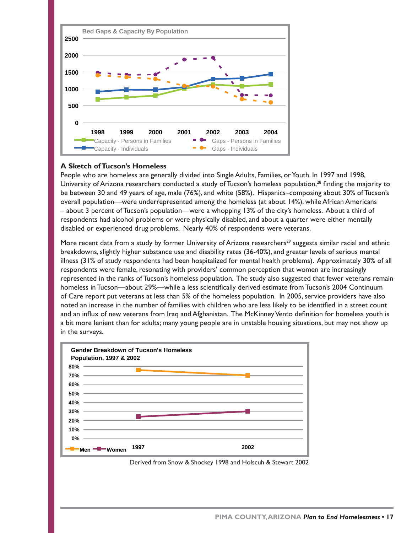

# **A Sketch of Tucson's Homeless**

People who are homeless are generally divided into Single Adults, Families, or Youth. In 1997 and 1998, University of Arizona researchers conducted a study of Tucson's homeless population,<sup>28</sup> finding the majority to be between 30 and 49 years of age, male (76%), and white (58%). Hispanics–composing about 30% of Tucson's overall population—were underrepresented among the homeless (at about 14%), while African Americans – about 3 percent of Tucson's population—were a whopping 13% of the city's homeless. About a third of respondents had alcohol problems or were physically disabled, and about a quarter were either mentally disabled or experienced drug problems. Nearly 40% of respondents were veterans.

More recent data from a study by former University of Arizona researchers<sup>29</sup> suggests similar racial and ethnic breakdowns, slightly higher substance use and disability rates (36-40%), and greater levels of serious mental illness (31% of study respondents had been hospitalized for mental health problems). Approximately 30% of all respondents were female, resonating with providers' common perception that women are increasingly represented in the ranks of Tucson's homeless population. The study also suggested that fewer veterans remain homeless in Tucson—about 29%—while a less scientifically derived estimate from Tucson's 2004 Continuum of Care report put veterans at less than 5% of the homeless population. In 2005, service providers have also noted an increase in the number of families with children who are less likely to be identified in a street count and an influx of new veterans from Iraq and Afghanistan. The McKinney Vento definition for homeless youth is a bit more lenient than for adults; many young people are in unstable housing situations, but may not show up in the surveys.



Derived from Snow & Shockey 1998 and Holscuh & Stewart 2002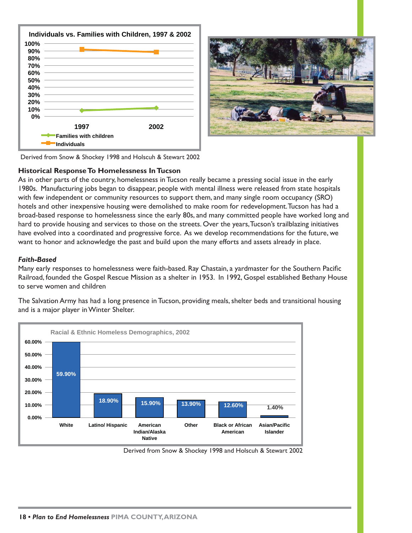



Derived from Snow & Shockey 1998 and Holscuh & Stewart 2002

# **Historical Response To Homelessness In Tucson**

As in other parts of the country, homelessness in Tucson really became a pressing social issue in the early 1980s. Manufacturing jobs began to disappear, people with mental illness were released from state hospitals with few independent or community resources to support them, and many single room occupancy (SRO) hotels and other inexpensive housing were demolished to make room for redevelopment. Tucson has had a broad-based response to homelessness since the early 80s, and many committed people have worked long and hard to provide housing and services to those on the streets. Over the years, Tucson's trailblazing initiatives have evolved into a coordinated and progressive force. As we develop recommendations for the future, we want to honor and acknowledge the past and build upon the many efforts and assets already in place.

# *Faith-Based*

Many early responses to homelessness were faith-based. Ray Chastain, a yardmaster for the Southern Pacific Railroad, founded the Gospel Rescue Mission as a shelter in 1953. In 1992, Gospel established Bethany House to serve women and children

The Salvation Army has had a long presence in Tucson, providing meals, shelter beds and transitional housing and is a major player in Winter Shelter.



Derived from Snow & Shockey 1998 and Holscuh & Stewart 2002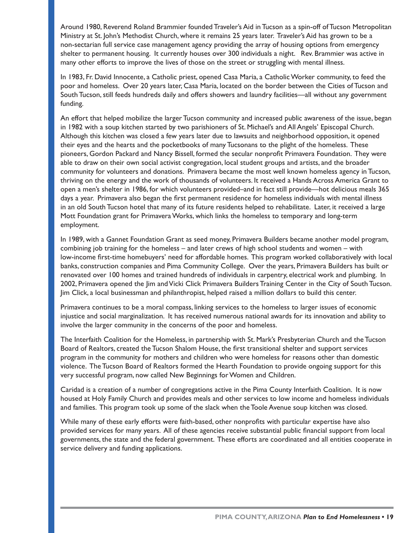Around 1980, Reverend Roland Brammier founded Traveler's Aid in Tucson as a spin-off of Tucson Metropolitan Ministry at St. John's Methodist Church, where it remains 25 years later. Traveler's Aid has grown to be a non-sectarian full service case management agency providing the array of housing options from emergency shelter to permanent housing. It currently houses over 300 individuals a night. Rev. Brammier was active in many other efforts to improve the lives of those on the street or struggling with mental illness.

In 1983, Fr. David Innocente, a Catholic priest, opened Casa Maria, a Catholic Worker community, to feed the poor and homeless. Over 20 years later, Casa Maria, located on the border between the Cities of Tucson and South Tucson, still feeds hundreds daily and offers showers and laundry facilities—all without any government funding.

An effort that helped mobilize the larger Tucson community and increased public awareness of the issue, began in 1982 with a soup kitchen started by two parishioners of St. Michael's and All Angels' Episcopal Church. Although this kitchen was closed a few years later due to lawsuits and neighborhood opposition, it opened their eyes and the hearts and the pocketbooks of many Tucsonans to the plight of the homeless. These pioneers, Gordon Packard and Nancy Bissell, formed the secular nonprofit Primavera Foundation. They were able to draw on their own social activist congregation, local student groups and artists, and the broader community for volunteers and donations. Primavera became the most well known homeless agency in Tucson, thriving on the energy and the work of thousands of volunteers. It received a Hands Across America Grant to open a men's shelter in 1986, for which volunteers provided–and in fact still provide—hot delicious meals 365 days a year. Primavera also began the first permanent residence for homeless individuals with mental illness in an old South Tucson hotel that many of its future residents helped to rehabilitate. Later, it received a large Mott Foundation grant for Primavera Works, which links the homeless to temporary and long-term employment.

In 1989, with a Gannet Foundation Grant as seed money, Primavera Builders became another model program, combining job training for the homeless – and later crews of high school students and women – with low-income first-time homebuyers' need for affordable homes. This program worked collaboratively with local banks, construction companies and Pima Community College. Over the years, Primavera Builders has built or renovated over 100 homes and trained hundreds of individuals in carpentry, electrical work and plumbing. In 2002, Primavera opened the Jim and Vicki Click Primavera Builders Training Center in the City of South Tucson. Jim Click, a local businessman and philanthropist, helped raised a million dollars to build this center.

Primavera continues to be a moral compass, linking services to the homeless to larger issues of economic injustice and social marginalization. It has received numerous national awards for its innovation and ability to involve the larger community in the concerns of the poor and homeless.

The Interfaith Coalition for the Homeless, in partnership with St. Mark's Presbyterian Church and the Tucson Board of Realtors, created the Tucson Shalom House, the first transitional shelter and support services program in the community for mothers and children who were homeless for reasons other than domestic violence. The Tucson Board of Realtors formed the Hearth Foundation to provide ongoing support for this very successful program, now called New Beginnings for Women and Children.

Caridad is a creation of a number of congregations active in the Pima County Interfaith Coalition. It is now housed at Holy Family Church and provides meals and other services to low income and homeless individuals and families. This program took up some of the slack when the Toole Avenue soup kitchen was closed.

While many of these early efforts were faith-based, other nonprofits with particular expertise have also provided services for many years. All of these agencies receive substantial public financial support from local governments, the state and the federal government. These efforts are coordinated and all entities cooperate in service delivery and funding applications.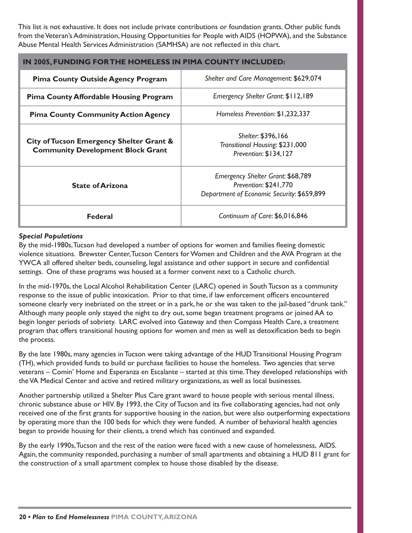This list is not exhaustive. It does not include private contributions or foundation grants. Other public funds from the Veteran's Administration, Housing Opportunities for People with AIDS (HOPWA), and the Substance Abuse Mental Health Services Administration (SAMHSA) are not reflected in this chart.

| IN 2005, FUNDING FOR THE HOMELESS IN PIMA COUNTY INCLUDED:                                      |                                                                                                          |  |  |
|-------------------------------------------------------------------------------------------------|----------------------------------------------------------------------------------------------------------|--|--|
| <b>Pima County Outside Agency Program</b>                                                       | Shelter and Care Management: \$629,074                                                                   |  |  |
| <b>Pima County Affordable Housing Program</b>                                                   | Emergency Shelter Grant: \$112,189                                                                       |  |  |
| <b>Pima County Community Action Agency</b>                                                      | Homeless Prevention: \$1,232,337                                                                         |  |  |
| <b>City of Tucson Emergency Shelter Grant &amp;</b><br><b>Community Development Block Grant</b> | Shelter: \$396,166<br>Transitional Housing: \$231,000<br>Prevention: \$134,127                           |  |  |
| <b>State of Arizona</b>                                                                         | Emergency Shelter Grant: \$68,789<br>Prevention: \$241,770<br>Department of Economic Security: \$659,899 |  |  |
| <b>Federal</b>                                                                                  | Continuum of Care: \$6,016,846                                                                           |  |  |

# *Special Populations*

By the mid-1980s, Tucson had developed a number of options for women and families fleeing domestic violence situations. Brewster Center, Tucson Centers for Women and Children and the AVA Program at the YWCA all offered shelter beds, counseling, legal assistance and other support in secure and confidential settings. One of these programs was housed at a former convent next to a Catholic church.

In the mid-1970s, the Local Alcohol Rehabilitation Center (LARC) opened in South Tucson as a community response to the issue of public intoxication. Prior to that time, if law enforcement officers encountered someone clearly very inebriated on the street or in a park, he or she was taken to the jail-based "drunk tank." Although many people only stayed the night to dry out, some began treatment programs or joined AA to begin longer periods of sobriety. LARC evolved into Gateway and then Compass Health Care, a treatment program that offers transitional housing options for women and men as well as detoxification beds to begin the process.

By the late 1980s, many agencies in Tucson were taking advantage of the HUD Transitional Housing Program (TH), which provided funds to build or purchase facilities to house the homeless. Two agencies that serve veterans – Comin' Home and Esperanza en Escalante – started at this time. They developed relationships with the VA Medical Center and active and retired military organizations, as well as local businesses.

Another partnership utilized a Shelter Plus Care grant award to house people with serious mental illness, chronic substance abuse or HIV. By 1993, the City of Tucson and its five collaborating agencies, had not only received one of the first grants for supportive housing in the nation, but were also outperforming expectations by operating more than the 100 beds for which they were funded. A number of behavioral health agencies began to provide housing for their clients, a trend which has continued and expanded.

By the early 1990s, Tucson and the rest of the nation were faced with a new cause of homelessness, AIDS. Again, the community responded, purchasing a number of small apartments and obtaining a HUD 811 grant for the construction of a small apartment complex to house those disabled by the disease.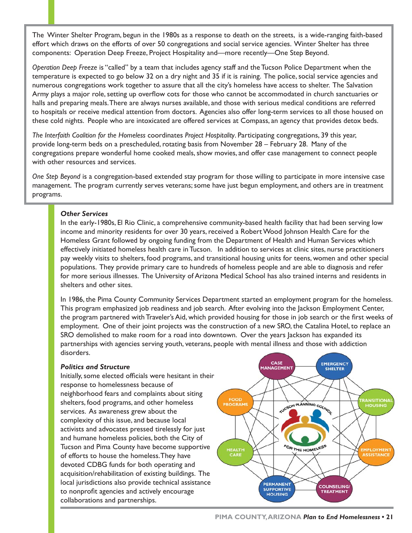The Winter Shelter Program, begun in the 1980s as a response to death on the streets, is a wide-ranging faith-based effort which draws on the efforts of over 50 congregations and social service agencies. Winter Shelter has three components: Operation Deep Freeze, Project Hospitality and—more recently—One Step Beyond.

*Operation Deep Freeze* is "called" by a team that includes agency staff and the Tucson Police Department when the temperature is expected to go below 32 on a dry night and 35 if it is raining. The police, social service agencies and numerous congregations work together to assure that all the city's homeless have access to shelter. The Salvation Army plays a major role, setting up overflow cots for those who cannot be accommodated in church sanctuaries or halls and preparing meals. There are always nurses available, and those with serious medical conditions are referred to hospitals or receive medical attention from doctors. Agencies also offer long-term services to all those housed on these cold nights. People who are intoxicated are offered services at Compass, an agency that provides detox beds.

*The Interfaith Coalition for the Homeless* coordinates *Project Hospitality*. Participating congregations, 39 this year, provide long-term beds on a prescheduled, rotating basis from November 28 – February 28. Many of the congregations prepare wonderful home cooked meals, show movies, and offer case management to connect people with other resources and services.

*One Step Beyond* is a congregation-based extended stay program for those willing to participate in more intensive case management. The program currently serves veterans; some have just begun employment, and others are in treatment programs.

# *Other Services*

In the early-1980s, El Rio Clinic, a comprehensive community-based health facility that had been serving low income and minority residents for over 30 years, received a Robert Wood Johnson Health Care for the Homeless Grant followed by ongoing funding from the Department of Health and Human Services which effectively initiated homeless health care in Tucson. In addition to services at clinic sites, nurse practitioners pay weekly visits to shelters, food programs, and transitional housing units for teens, women and other special populations. They provide primary care to hundreds of homeless people and are able to diagnosis and refer for more serious illnesses. The University of Arizona Medical School has also trained interns and residents in shelters and other sites.

In 1986, the Pima County Community Services Department started an employment program for the homeless. This program emphasized job readiness and job search. After evolving into the Jackson Employment Center, the program partnered with Traveler's Aid, which provided housing for those in job search or the first weeks of employment. One of their joint projects was the construction of a new SRO, the Catalina Hotel, to replace an SRO demolished to make room for a road into downtown. Over the years Jackson has expanded its partnerships with agencies serving youth, veterans, people with mental illness and those with addiction disorders.

# *Politics and Structure*

Initially, some elected officials were hesitant in their response to homelessness because of neighborhood fears and complaints about siting shelters, food programs, and other homeless services. As awareness grew about the complexity of this issue, and because local activists and advocates pressed tirelessly for just and humane homeless policies, both the City of Tucson and Pima County have become supportive of efforts to house the homeless. They have devoted CDBG funds for both operating and acquisition/rehabilitation of existing buildings. The local jurisdictions also provide technical assistance to nonprofit agencies and actively encourage collaborations and partnerships.

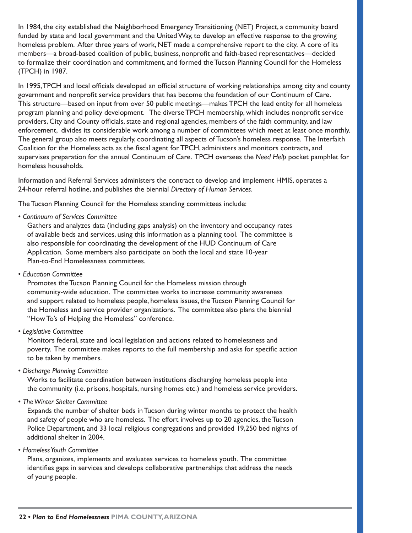In 1984, the city established the Neighborhood Emergency Transitioning (NET) Project, a community board funded by state and local government and the United Way, to develop an effective response to the growing homeless problem. After three years of work, NET made a comprehensive report to the city. A core of its members—a broad-based coalition of public, business, nonprofit and faith-based representatives—decided to formalize their coordination and commitment, and formed the Tucson Planning Council for the Homeless (TPCH) in 1987.

In 1995, TPCH and local officials developed an official structure of working relationships among city and county government and nonprofit service providers that has become the foundation of our Continuum of Care. This structure—based on input from over 50 public meetings—makes TPCH the lead entity for all homeless program planning and policy development. The diverse TPCH membership, which includes nonprofit service providers, City and County officials, state and regional agencies, members of the faith community, and law enforcement, divides its considerable work among a number of committees which meet at least once monthly. The general group also meets regularly, coordinating all aspects of Tucson's homeless response. The Interfaith Coalition for the Homeless acts as the fiscal agent for TPCH, administers and monitors contracts, and supervises preparation for the annual Continuum of Care. TPCH oversees the *Need Help* pocket pamphlet for homeless households.

Information and Referral Services administers the contract to develop and implement HMIS, operates a 24-hour referral hotline, and publishes the biennial *Directory of Human Services*.

The Tucson Planning Council for the Homeless standing committees include:

• *Continuum of Services Committee*

Gathers and analyzes data (including gaps analysis) on the inventory and occupancy rates of available beds and services, using this information as a planning tool. The committee is also responsible for coordinating the development of the HUD Continuum of Care Application. Some members also participate on both the local and state 10-year Plan-to-End Homelessness committees.

• *Education Committee*

Promotes the Tucson Planning Council for the Homeless mission through community-wide education. The committee works to increase community awareness and support related to homeless people, homeless issues, the Tucson Planning Council for the Homeless and service provider organizations. The committee also plans the biennial "How To's of Helping the Homeless" conference.

• *Legislative Committee*

Monitors federal, state and local legislation and actions related to homelessness and poverty. The committee makes reports to the full membership and asks for specific action to be taken by members.

• *Discharge Planning Committee*

Works to facilitate coordination between institutions discharging homeless people into the community (i.e. prisons, hospitals, nursing homes etc.) and homeless service providers.

• *The Winter Shelter Committee*

Expands the number of shelter beds in Tucson during winter months to protect the health and safety of people who are homeless. The effort involves up to 20 agencies, the Tucson Police Department, and 33 local religious congregations and provided 19,250 bed nights of additional shelter in 2004.

• *Homeless Youth Committee*

Plans, organizes, implements and evaluates services to homeless youth. The committee identifies gaps in services and develops collaborative partnerships that address the needs of young people.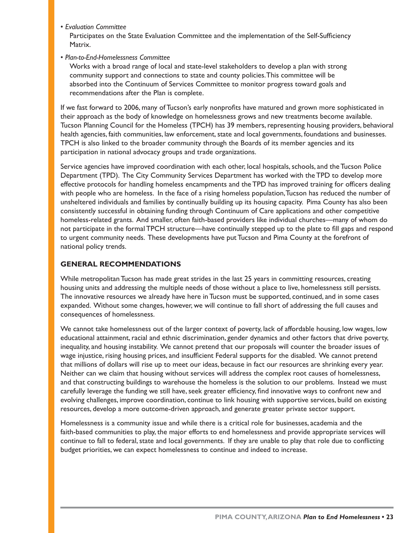• *Evaluation Committee*

Participates on the State Evaluation Committee and the implementation of the Self-Sufficiency Matrix.

• *Plan-to-End-Homelessness Committee*

Works with a broad range of local and state-level stakeholders to develop a plan with strong community support and connections to state and county policies. This committee will be absorbed into the Continuum of Services Committee to monitor progress toward goals and recommendations after the Plan is complete.

If we fast forward to 2006, many of Tucson's early nonprofits have matured and grown more sophisticated in their approach as the body of knowledge on homelessness grows and new treatments become available. Tucson Planning Council for the Homeless (TPCH) has 39 members, representing housing providers, behavioral health agencies, faith communities, law enforcement, state and local governments, foundations and businesses. TPCH is also linked to the broader community through the Boards of its member agencies and its participation in national advocacy groups and trade organizations.

Service agencies have improved coordination with each other, local hospitals, schools, and the Tucson Police Department (TPD). The City Community Services Department has worked with the TPD to develop more effective protocols for handling homeless encampments and the TPD has improved training for officers dealing with people who are homeless. In the face of a rising homeless population, Tucson has reduced the number of unsheltered individuals and families by continually building up its housing capacity. Pima County has also been consistently successful in obtaining funding through Continuum of Care applications and other competitive homeless-related grants. And smaller, often faith-based providers like individual churches—many of whom do not participate in the formal TPCH structure—have continually stepped up to the plate to fill gaps and respond to urgent community needs. These developments have put Tucson and Pima County at the forefront of national policy trends.

# **GENERAL RECOMMENDATIONS**

While metropolitan Tucson has made great strides in the last 25 years in committing resources, creating housing units and addressing the multiple needs of those without a place to live, homelessness still persists. The innovative resources we already have here in Tucson must be supported, continued, and in some cases expanded. Without some changes, however, we will continue to fall short of addressing the full causes and consequences of homelessness.

We cannot take homelessness out of the larger context of poverty, lack of affordable housing, low wages, low educational attainment, racial and ethnic discrimination, gender dynamics and other factors that drive poverty, inequality, and housing instability. We cannot pretend that our proposals will counter the broader issues of wage injustice, rising housing prices, and insufficient Federal supports for the disabled. We cannot pretend that millions of dollars will rise up to meet our ideas, because in fact our resources are shrinking every year. Neither can we claim that housing without services will address the complex root causes of homelessness, and that constructing buildings to warehouse the homeless is the solution to our problems. Instead we must carefully leverage the funding we still have, seek greater efficiency, find innovative ways to confront new and evolving challenges, improve coordination, continue to link housing with supportive services, build on existing resources, develop a more outcome-driven approach, and generate greater private sector support.

Homelessness is a community issue and while there is a critical role for businesses, academia and the faith-based communities to play, the major efforts to end homelessness and provide appropriate services will continue to fall to federal, state and local governments. If they are unable to play that role due to conflicting budget priorities, we can expect homelessness to continue and indeed to increase.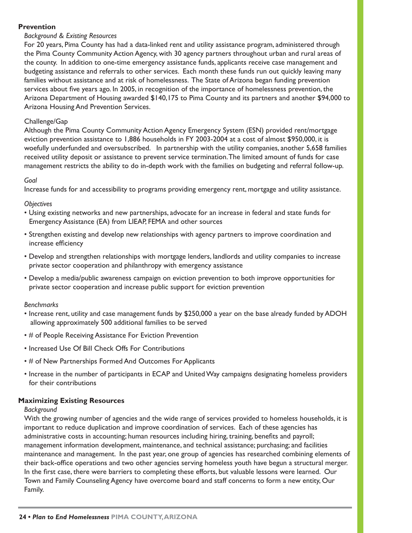# **Prevention**

# *Background & Existing Resources*

For 20 years, Pima County has had a data-linked rent and utility assistance program, administered through the Pima County Community Action Agency, with 30 agency partners throughout urban and rural areas of the county. In addition to one-time emergency assistance funds, applicants receive case management and budgeting assistance and referrals to other services. Each month these funds run out quickly leaving many families without assistance and at risk of homelessness. The State of Arizona began funding prevention services about five years ago. In 2005, in recognition of the importance of homelessness prevention, the Arizona Department of Housing awarded \$140,175 to Pima County and its partners and another \$94,000 to Arizona Housing And Prevention Services.

# Challenge/Gap

Although the Pima County Community Action Agency Emergency System (ESN) provided rent/mortgage eviction prevention assistance to 1,886 households in FY 2003-2004 at a cost of almost \$950,000, it is woefully underfunded and oversubscribed. In partnership with the utility companies, another 5,658 families received utility deposit or assistance to prevent service termination. The limited amount of funds for case management restricts the ability to do in-depth work with the families on budgeting and referral follow-up.

# *Goal*

Increase funds for and accessibility to programs providing emergency rent, mortgage and utility assistance.

# *Objectives*

- Using existing networks and new partnerships, advocate for an increase in federal and state funds for Emergency Assistance (EA) from LIEAP, FEMA and other sources
- Strengthen existing and develop new relationships with agency partners to improve coordination and increase efficiency
- Develop and strengthen relationships with mortgage lenders, landlords and utility companies to increase private sector cooperation and philanthropy with emergency assistance
- Develop a media/public awareness campaign on eviction prevention to both improve opportunities for private sector cooperation and increase public support for eviction prevention

# *Benchmarks*

- Increase rent, utility and case management funds by \$250,000 a year on the base already funded by ADOH allowing approximately 500 additional families to be served
- # of People Receiving Assistance For Eviction Prevention
- Increased Use Of Bill Check Offs For Contributions
- # of New Partnerships Formed And Outcomes For Applicants
- Increase in the number of participants in ECAP and United Way campaigns designating homeless providers for their contributions

# **Maximizing Existing Resources**

# *Background*

With the growing number of agencies and the wide range of services provided to homeless households, it is important to reduce duplication and improve coordination of services. Each of these agencies has administrative costs in accounting; human resources including hiring, training, benefits and payroll; management information development, maintenance, and technical assistance; purchasing; and facilities maintenance and management. In the past year, one group of agencies has researched combining elements of their back-office operations and two other agencies serving homeless youth have begun a structural merger. In the first case, there were barriers to completing these efforts, but valuable lessons were learned. Our Town and Family Counseling Agency have overcome board and staff concerns to form a new entity, Our Family.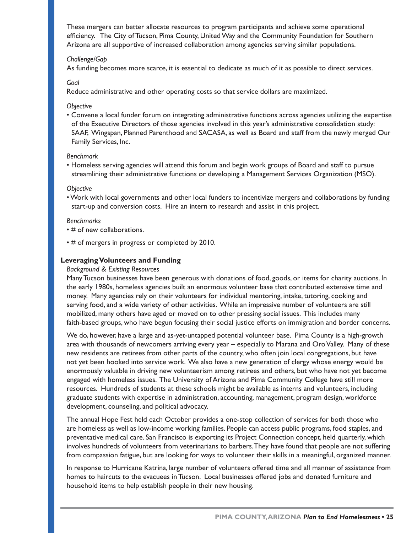These mergers can better allocate resources to program participants and achieve some operational efficiency. The City of Tucson, Pima County, United Way and the Community Foundation for Southern Arizona are all supportive of increased collaboration among agencies serving similar populations.

# *Challenge/Gap*

As funding becomes more scarce, it is essential to dedicate as much of it as possible to direct services.

#### *Goal*

Reduce administrative and other operating costs so that service dollars are maximized.

#### *Objective*

• Convene a local funder forum on integrating administrative functions across agencies utilizing the expertise of the Executive Directors of those agencies involved in this year's administrative consolidation study: SAAF, Wingspan, Planned Parenthood and SACASA, as well as Board and staff from the newly merged Our Family Services, Inc.

# *Benchmark*

• Homeless serving agencies will attend this forum and begin work groups of Board and staff to pursue streamlining their administrative functions or developing a Management Services Organization (MSO).

# *Objective*

• Work with local governments and other local funders to incentivize mergers and collaborations by funding start-up and conversion costs. Hire an intern to research and assist in this project.

# *Benchmarks*

- # of new collaborations.
- # of mergers in progress or completed by 2010.

# **Leveraging Volunteers and Funding**

#### *Background & Existing Resources*

Many Tucson businesses have been generous with donations of food, goods, or items for charity auctions. In the early 1980s, homeless agencies built an enormous volunteer base that contributed extensive time and money. Many agencies rely on their volunteers for individual mentoring, intake, tutoring, cooking and serving food, and a wide variety of other activities. While an impressive number of volunteers are still mobilized, many others have aged or moved on to other pressing social issues. This includes many faith-based groups, who have begun focusing their social justice efforts on immigration and border concerns.

We do, however, have a large and as-yet-untapped potential volunteer base. Pima County is a high-growth area with thousands of newcomers arriving every year – especially to Marana and Oro Valley. Many of these new residents are retirees from other parts of the country, who often join local congregations, but have not yet been hooked into service work. We also have a new generation of clergy whose energy would be enormously valuable in driving new volunteerism among retirees and others, but who have not yet become engaged with homeless issues. The University of Arizona and Pima Community College have still more resources. Hundreds of students at these schools might be available as interns and volunteers, including graduate students with expertise in administration, accounting, management, program design, workforce development, counseling, and political advocacy.

The annual Hope Fest held each October provides a one-stop collection of services for both those who are homeless as well as low-income working families. People can access public programs, food staples, and preventative medical care. San Francisco is exporting its Project Connection concept, held quarterly, which involves hundreds of volunteers from veterinarians to barbers. They have found that people are not suffering from compassion fatigue, but are looking for ways to volunteer their skills in a meaningful, organized manner.

In response to Hurricane Katrina, large number of volunteers offered time and all manner of assistance from homes to haircuts to the evacuees in Tucson. Local businesses offered jobs and donated furniture and household items to help establish people in their new housing.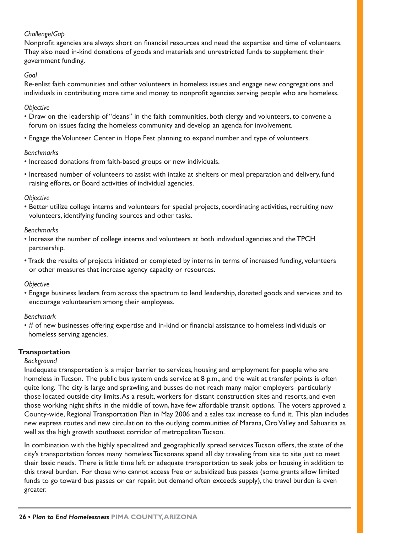# *Challenge/Gap*

Nonprofit agencies are always short on financial resources and need the expertise and time of volunteers. They also need in-kind donations of goods and materials and unrestricted funds to supplement their government funding.

# *Goal*

Re-enlist faith communities and other volunteers in homeless issues and engage new congregations and individuals in contributing more time and money to nonprofit agencies serving people who are homeless.

# *Objective*

- Draw on the leadership of "deans" in the faith communities, both clergy and volunteers, to convene a forum on issues facing the homeless community and develop an agenda for involvement.
- Engage the Volunteer Center in Hope Fest planning to expand number and type of volunteers.

# *Benchmarks*

- Increased donations from faith-based groups or new individuals.
- Increased number of volunteers to assist with intake at shelters or meal preparation and delivery, fund raising efforts, or Board activities of individual agencies.

# *Objective*

• Better utilize college interns and volunteers for special projects, coordinating activities, recruiting new volunteers, identifying funding sources and other tasks.

# *Benchmarks*

- Increase the number of college interns and volunteers at both individual agencies and the TPCH partnership.
- Track the results of projects initiated or completed by interns in terms of increased funding, volunteers or other measures that increase agency capacity or resources.

# *Objective*

• Engage business leaders from across the spectrum to lend leadership, donated goods and services and to encourage volunteerism among their employees.

# *Benchmark*

• # of new businesses offering expertise and in-kind or financial assistance to homeless individuals or homeless serving agencies.

# **Transportation**

# *Background*

Inadequate transportation is a major barrier to services, housing and employment for people who are homeless in Tucson. The public bus system ends service at 8 p.m., and the wait at transfer points is often quite long. The city is large and sprawling, and busses do not reach many major employers–particularly those located outside city limits. As a result, workers for distant construction sites and resorts, and even those working night shifts in the middle of town, have few affordable transit options. The voters approved a County-wide, Regional Transportation Plan in May 2006 and a sales tax increase to fund it. This plan includes new express routes and new circulation to the outlying communities of Marana, Oro Valley and Sahuarita as well as the high growth southeast corridor of metropolitan Tucson.

In combination with the highly specialized and geographically spread services Tucson offers, the state of the city's transportation forces many homeless Tucsonans spend all day traveling from site to site just to meet their basic needs. There is little time left or adequate transportation to seek jobs or housing in addition to this travel burden. For those who cannot access free or subsidized bus passes (some grants allow limited funds to go toward bus passes or car repair, but demand often exceeds supply), the travel burden is even greater.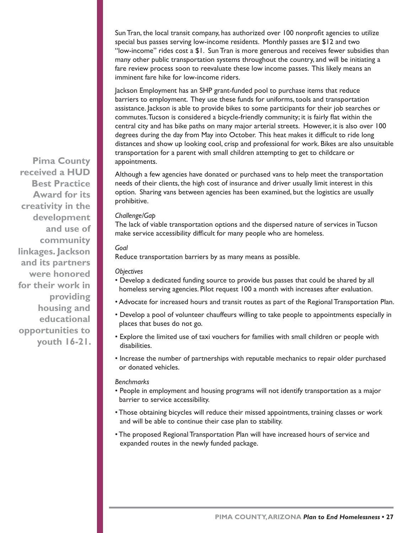Sun Tran, the local transit company, has authorized over 100 nonprofit agencies to utilize special bus passes serving low-income residents. Monthly passes are \$12 and two "low-income" rides cost a \$1. Sun Tran is more generous and receives fewer subsidies than many other public transportation systems throughout the country, and will be initiating a fare review process soon to reevaluate these low income passes. This likely means an imminent fare hike for low-income riders.

Jackson Employment has an SHP grant-funded pool to purchase items that reduce barriers to employment. They use these funds for uniforms, tools and transportation assistance. Jackson is able to provide bikes to some participants for their job searches or commutes. Tucson is considered a bicycle-friendly community; it is fairly flat within the central city and has bike paths on many major arterial streets. However, it is also over 100 degrees during the day from May into October. This heat makes it difficult to ride long distances and show up looking cool, crisp and professional for work. Bikes are also unsuitable transportation for a parent with small children attempting to get to childcare or appointments.

Although a few agencies have donated or purchased vans to help meet the transportation needs of their clients, the high cost of insurance and driver usually limit interest in this option. Sharing vans between agencies has been examined, but the logistics are usually prohibitive.

#### *Challenge/Gap*

The lack of viable transportation options and the dispersed nature of services in Tucson make service accessibility difficult for many people who are homeless.

# *Goal*

Reduce transportation barriers by as many means as possible.

#### *Objectives*

- Develop a dedicated funding source to provide bus passes that could be shared by all homeless serving agencies. Pilot request 100 a month with increases after evaluation.
- Advocate for increased hours and transit routes as part of the Regional Transportation Plan.
- Develop a pool of volunteer chauffeurs willing to take people to appointments especially in places that buses do not go.
- Explore the limited use of taxi vouchers for families with small children or people with disabilities.
- Increase the number of partnerships with reputable mechanics to repair older purchased or donated vehicles.

#### *Benchmarks*

- People in employment and housing programs will not identify transportation as a major barrier to service accessibility.
- Those obtaining bicycles will reduce their missed appointments, training classes or work and will be able to continue their case plan to stability.
- The proposed Regional Transportation Plan will have increased hours of service and expanded routes in the newly funded package.

**Pima County received a HUD Best Practice Award for its creativity in the development and use of community linkages. Jackson and its partners were honored for their work in providing housing and educational opportunities to youth 16-21.**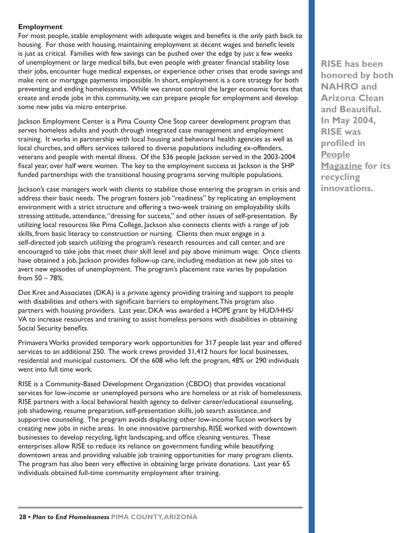# **Employment**

For most people, stable employment with adequate wages and benefits is the only path back to housing. For those with housing, maintaining employment at decent wages and benefit levels is just as critical. Families with few savings can be pushed over the edge by just a few weeks of unemployment or large medical bills, but even people with greater financial stability lose their jobs, encounter huge medical expenses, or experience other crises that erode savings and make rent or mortgage payments impossible. In short, employment is a core strategy for both preventing and ending homelessness. While we cannot control the larger economic forces that create and erode jobs in this community, we can prepare people for employment and develop some new jobs via micro enterprise.

Jackson Employment Center is a Pima County One Stop career development program that serves homeless adults and youth through integrated case management and employment training. It works in partnership with local housing and behavioral health agencies as well as local churches, and offers services tailored to diverse populations including ex-offenders, veterans and people with mental illness. Of the 536 people Jackson served in the 2003-2004 fiscal year, over half were women. The key to the employment success at Jackson is the SHP funded partnerships with the transitional housing programs serving multiple populations.

Jackson's case managers work with clients to stabilize those entering the program in crisis and address their basic needs. The program fosters job "readiness" by replicating an employment environment with a strict structure and offering a two-week training on employability skills stressing attitude, attendance, "dressing for success," and other issues of self-presentation. By utilizing local resources like Pima College, Jackson also connects clients with a range of job skills, from basic literacy to construction or nursing. Clients then must engage in a self-directed job search utilizing the program's research resources and call center, and are encouraged to take jobs that meet their skill level and pay above minimum wage. Once clients have obtained a job, Jackson provides follow-up care, including mediation at new job sites to avert new episodes of unemployment. The program's placement rate varies by population from 50 – 78%.

Dot Kret and Associates (DKA) is a private agency providing training and support to people with disabilities and others with significant barriers to employment. This program also partners with housing providers. Last year, DKA was awarded a HOPE grant by HUD/HHS/ VA to increase resources and training to assist homeless persons with disabilities in obtaining Social Security benefits.

Primavera Works provided temporary work opportunities for 317 people last year and offered services to an additional 250. The work crews provided 31,412 hours for local businesses, residential and municipal customers. Of the 608 who left the program, 48% or 290 individuals went into full time work.

RISE is a Community-Based Development Organization (CBDO) that provides vocational services for low-income or unemployed persons who are homeless or at risk of homelessness. RISE partners with a local behavioral health agency to deliver career/educational counseling, job shadowing, resume preparation, self-presentation skills, job search assistance, and supportive counseling. The program avoids displacing other low-income Tucson workers by creating new jobs in niche areas. In one innovative partnership, RISE worked with downtown businesses to develop recycling, light landscaping, and office cleaning ventures. These enterprises allow RISE to reduce its reliance on government funding while beautifying downtown areas and providing valuable job training opportunities for many program clients. The program has also been very effective in obtaining large private donations. Last year 65 individuals obtained full-time community employment after training.

**RISE has been honored by both NAHRO and Arizona Clean and Beautiful. In May 2004, RISE was profiled in People Magazine for its recycling innovations.**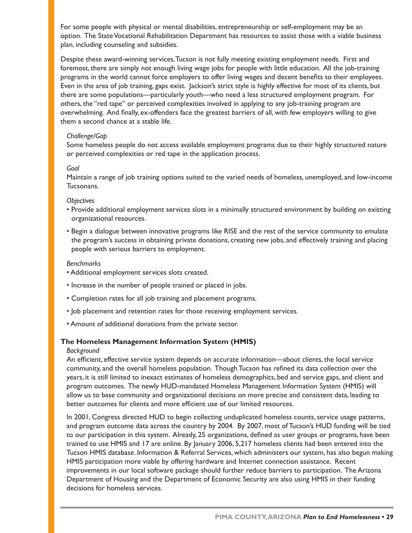For some people with physical or mental disabilities, entrepreneurship or self-employment may be an option. The State Vocational Rehabilitation Department has resources to assist those with a viable business plan, including counseling and subsidies.

Despite these award-winning services, Tucson is not fully meeting existing employment needs. First and foremost, there are simply not enough living wage jobs for people with little education. All the job-training programs in the world cannot force employers to offer living wages and decent benefits to their employees. Even in the area of job training, gaps exist. Jackson's strict style is highly effective for most of its clients, but there are some populations—particularly youth—who need a less structured employment program. For others, the "red tape" or perceived complexities involved in applying to any job-training program are overwhelming. And finally, ex-offenders face the greatest barriers of all, with few employers willing to give them a second chance at a stable life.

#### *Challenge/Gap*

Some homeless people do not access available employment programs due to their highly structured nature or perceived complexities or red tape in the application process.

#### *Goal*

Maintain a range of job training options suited to the varied needs of homeless, unemployed, and low-income Tucsonans.

#### *Objectives*

- Provide additional employment services slots in a minimally structured environment by building on existing organizational resources.
- Begin a dialogue between innovative programs like RISE and the rest of the service community to emulate the program's success in obtaining private donations, creating new jobs, and effectively training and placing people with serious barriers to employment.

#### *Benchmarks*

- Additional employment services slots created.
- Increase in the number of people trained or placed in jobs.
- Completion rates for all job training and placement programs.
- Job placement and retention rates for those receiving employment services.
- Amount of additional donations from the private sector.

# **The Homeless Management Information System (HMIS)**

#### *Background*

An efficient, effective service system depends on accurate information—about clients, the local service community, and the overall homeless population. Though Tucson has refined its data collection over the years, it is still limited to inexact estimates of homeless demographics, bed and service gaps, and client and program outcomes. The newly HUD-mandated Homeless Management Information System (HMIS) will allow us to base community and organizational decisions on more precise and consistent data, leading to better outcomes for clients and more efficient use of our limited resources.

In 2001, Congress directed HUD to begin collecting unduplicated homeless counts, service usage patterns, and program outcome data across the country by 2004. By 2007, most of Tucson's HUD funding will be tied to our participation in this system. Already, 25 organizations, defined as user groups or programs, have been trained to use HMIS and 17 are online. By January 2006, 5,217 homeless clients had been entered into the Tucson HMIS database. Information & Referral Services, which administers our system, has also begun making HMIS participation more viable by offering hardware and Internet connection assistance. Recent improvements in our local software package should further reduce barriers to participation. The Arizona Department of Housing and the Department of Economic Security are also using HMIS in their funding decisions for homeless services.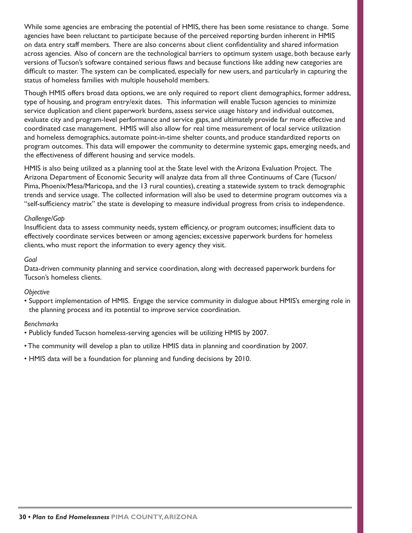While some agencies are embracing the potential of HMIS, there has been some resistance to change. Some agencies have been reluctant to participate because of the perceived reporting burden inherent in HMIS on data entry staff members. There are also concerns about client confidentiality and shared information across agencies. Also of concern are the technological barriers to optimum system usage, both because early versions of Tucson's software contained serious flaws and because functions like adding new categories are difficult to master. The system can be complicated, especially for new users, and particularly in capturing the status of homeless families with multiple household members.

Though HMIS offers broad data options, we are only required to report client demographics, former address, type of housing, and program entry/exit dates. This information will enable Tucson agencies to minimize service duplication and client paperwork burdens, assess service usage history and individual outcomes, evaluate city and program-level performance and service gaps, and ultimately provide far more effective and coordinated case management. HMIS will also allow for real time measurement of local service utilization and homeless demographics, automate point-in-time shelter counts, and produce standardized reports on program outcomes. This data will empower the community to determine systemic gaps, emerging needs, and the effectiveness of different housing and service models.

HMIS is also being utilized as a planning tool at the State level with the Arizona Evaluation Project. The Arizona Department of Economic Security will analyze data from all three Continuums of Care (Tucson/ Pima, Phoenix/Mesa/Maricopa, and the 13 rural counties), creating a statewide system to track demographic trends and service usage. The collected information will also be used to determine program outcomes via a "self-sufficiency matrix" the state is developing to measure individual progress from crisis to independence.

# *Challenge/Gap*

Insufficient data to assess community needs, system efficiency, or program outcomes; insufficient data to effectively coordinate services between or among agencies; excessive paperwork burdens for homeless clients, who must report the information to every agency they visit.

#### *Goal*

Data-driven community planning and service coordination, along with decreased paperwork burdens for Tucson's homeless clients.

# *Objective*

• Support implementation of HMIS. Engage the service community in dialogue about HMIS's emerging role in the planning process and its potential to improve service coordination.

# *Benchmarks*

- Publicly funded Tucson homeless-serving agencies will be utilizing HMIS by 2007.
- The community will develop a plan to utilize HMIS data in planning and coordination by 2007.
- HMIS data will be a foundation for planning and funding decisions by 2010.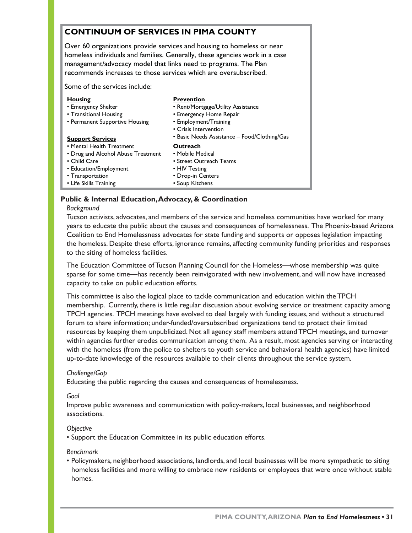# **CONTINUUM OF SERVICES IN PIMA COUNTY**

Over 60 organizations provide services and housing to homeless or near homeless individuals and families. Generally, these agencies work in a case management/advocacy model that links need to programs. The Plan recommends increases to those services which are oversubscribed.

#### Some of the services include:

| <b>Housing</b>                                       | <b>Prevention</b>                                                                 |
|------------------------------------------------------|-----------------------------------------------------------------------------------|
| • Emergency Shelter                                  | • Rent/Mortgage/Utility Assistance                                                |
| • Transitional Housing                               | • Emergency Home Repair                                                           |
| • Permanent Supportive Housing                       | • Employment/Training                                                             |
| <b>Support Services</b><br>• Mental Health Treatment | • Crisis Intervention<br>• Basic Needs Assistance – Food/Clothing/Gas<br>Outreach |
| • Drug and Alcohol Abuse Treatment                   | • Mobile Medical                                                                  |
| $\cdot$ Child Care                                   | • Street Outreach Teams                                                           |
| • Education/Employment                               | • HIV Testing                                                                     |
| • Transportation                                     | • Drop-in Centers                                                                 |
| • Life Skills Training                               | • Soup Kitchens                                                                   |

# **Public & Internal Education, Advocacy, & Coordination**

#### *Background*

Tucson activists, advocates, and members of the service and homeless communities have worked for many years to educate the public about the causes and consequences of homelessness. The Phoenix-based Arizona Coalition to End Homelessness advocates for state funding and supports or opposes legislation impacting the homeless. Despite these efforts, ignorance remains, affecting community funding priorities and responses to the siting of homeless facilities.

The Education Committee of Tucson Planning Council for the Homeless—whose membership was quite sparse for some time—has recently been reinvigorated with new involvement, and will now have increased capacity to take on public education efforts.

This committee is also the logical place to tackle communication and education within the TPCH membership. Currently, there is little regular discussion about evolving service or treatment capacity among TPCH agencies. TPCH meetings have evolved to deal largely with funding issues, and without a structured forum to share information; under-funded/oversubscribed organizations tend to protect their limited resources by keeping them unpublicized. Not all agency staff members attend TPCH meetings, and turnover within agencies further erodes communication among them. As a result, most agencies serving or interacting with the homeless (from the police to shelters to youth service and behavioral health agencies) have limited up-to-date knowledge of the resources available to their clients throughout the service system.

#### *Challenge/Gap*

Educating the public regarding the causes and consequences of homelessness.

#### *Goal*

Improve public awareness and communication with policy-makers, local businesses, and neighborhood associations.

#### *Objective*

• Support the Education Committee in its public education efforts.

#### *Benchmark*

• Policymakers, neighborhood associations, landlords, and local businesses will be more sympathetic to siting homeless facilities and more willing to embrace new residents or employees that were once without stable homes.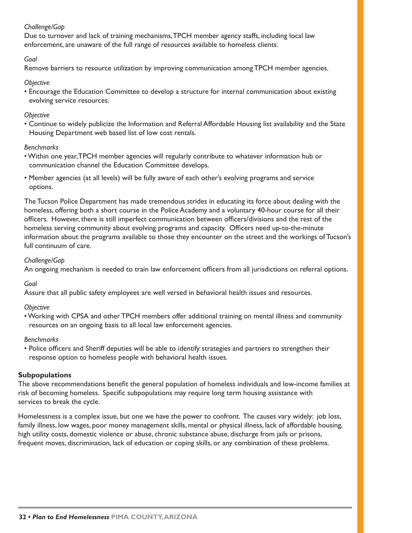# *Challenge/Gap*

Due to turnover and lack of training mechanisms, TPCH member agency staffs, including local law enforcement, are unaware of the full range of resources available to homeless clients.

# *Goal*

Remove barriers to resource utilization by improving communication among TPCH member agencies.

# *Objective*

• Encourage the Education Committee to develop a structure for internal communication about existing evolving service resources.

# *Objective*

• Continue to widely publicize the Information and Referral Affordable Housing list availability and the State Housing Department web based list of low cost rentals.

# *Benchmarks*

- Within one year, TPCH member agencies will regularly contribute to whatever information hub or communication channel the Education Committee develops.
- Member agencies (at all levels) will be fully aware of each other's evolving programs and service options.

The Tucson Police Department has made tremendous strides in educating its force about dealing with the homeless, offering both a short course in the Police Academy and a voluntary 40-hour course for all their officers. However, there is still imperfect communication between officers/divisions and the rest of the homeless serving community about evolving programs and capacity. Officers need up-to-the-minute information about the programs available to those they encounter on the street and the workings of Tucson's full continuum of care.

# *Challenge/Gap*

An ongoing mechanism is needed to train law enforcement officers from all jurisdictions on referral options.

# *Goal*

Assure that all public safety employees are well versed in behavioral health issues and resources.

# *Objective*

• Working with CPSA and other TPCH members offer additional training on mental illness and community resources on an ongoing basis to all local law enforcement agencies.

# *Benchmarks*

• Police officers and Sheriff deputies will be able to identify strategies and partners to strengthen their response option to homeless people with behavioral health issues.

# **Subpopulations**

The above recommendations benefit the general population of homeless individuals and low-income families at risk of becoming homeless. Specific subpopulations may require long term housing assistance with services to break the cycle.

Homelessness is a complex issue, but one we have the power to confront. The causes vary widely: job loss, family illness, low wages, poor money management skills, mental or physical illness, lack of affordable housing, high utility costs, domestic violence or abuse, chronic substance abuse, discharge from jails or prisons, frequent moves, discrimination, lack of education or coping skills, or any combination of these problems.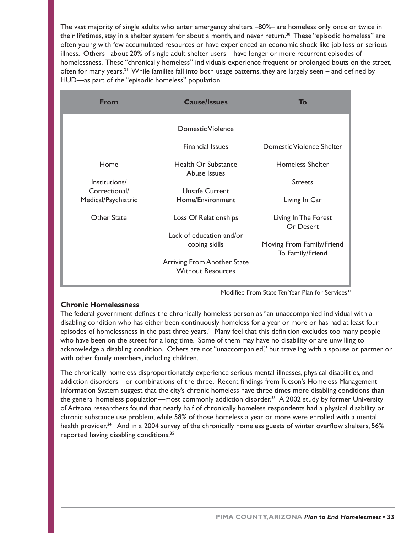The vast majority of single adults who enter emergency shelters –80%– are homeless only once or twice in their lifetimes, stay in a shelter system for about a month, and never return.<sup>30</sup> These "episodic homeless" are often young with few accumulated resources or have experienced an economic shock like job loss or serious illness. Others –about 20% of single adult shelter users—have longer or more recurrent episodes of homelessness. These "chronically homeless" individuals experience frequent or prolonged bouts on the street, often for many years.<sup>31</sup> While families fall into both usage patterns, they are largely seen – and defined by HUD—as part of the "episodic homeless" population.

| <b>From</b>                                                                  | <b>Cause/Issues</b>                                                                                                                                                                                                                                               | To                                                                                                                                                                                   |  |
|------------------------------------------------------------------------------|-------------------------------------------------------------------------------------------------------------------------------------------------------------------------------------------------------------------------------------------------------------------|--------------------------------------------------------------------------------------------------------------------------------------------------------------------------------------|--|
| Home<br>Institutions/<br>Correctional/<br>Medical/Psychiatric<br>Other State | Domestic Violence<br><b>Financial Issues</b><br>Health Or Substance<br>Abuse Issues<br><b>Unsafe Current</b><br>Home/Environment<br>Loss Of Relationships<br>Lack of education and/or<br>coping skills<br>Arriving From Another State<br><b>Without Resources</b> | Domestic Violence Shelter<br><b>Homeless Shelter</b><br><b>Streets</b><br>Living In Car<br>Living In The Forest<br><b>Or Desert</b><br>Moving From Family/Friend<br>To Family/Friend |  |
|                                                                              |                                                                                                                                                                                                                                                                   |                                                                                                                                                                                      |  |

Modified From State Ten Year Plan for Services<sup>32</sup>

# **Chronic Homelessness**

The federal government defines the chronically homeless person as "an unaccompanied individual with a disabling condition who has either been continuously homeless for a year or more or has had at least four episodes of homelessness in the past three years." Many feel that this definition excludes too many people who have been on the street for a long time. Some of them may have no disability or are unwilling to acknowledge a disabling condition. Others are not "unaccompanied," but traveling with a spouse or partner or with other family members, including children.

The chronically homeless disproportionately experience serious mental illnesses, physical disabilities, and addiction disorders—or combinations of the three. Recent findings from Tucson's Homeless Management Information System suggest that the city's chronic homeless have three times more disabling conditions than the general homeless population—most commonly addiction disorder.<sup>33</sup> A 2002 study by former University of Arizona researchers found that nearly half of chronically homeless respondents had a physical disability or chronic substance use problem, while 58% of those homeless a year or more were enrolled with a mental health provider.<sup>34</sup> And in a 2004 survey of the chronically homeless guests of winter overflow shelters, 56% reported having disabling conditions.35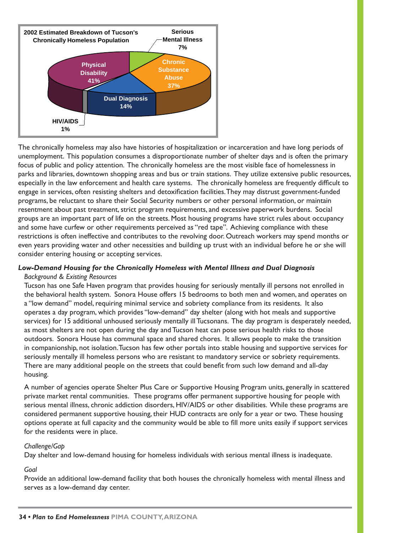

The chronically homeless may also have histories of hospitalization or incarceration and have long periods of unemployment. This population consumes a disproportionate number of shelter days and is often the primary focus of public and policy attention. The chronically homeless are the most visible face of homelessness in parks and libraries, downtown shopping areas and bus or train stations. They utilize extensive public resources, especially in the law enforcement and health care systems. The chronically homeless are frequently difficult to engage in services, often resisting shelters and detoxification facilities. They may distrust government-funded programs, be reluctant to share their Social Security numbers or other personal information, or maintain resentment about past treatment, strict program requirements, and excessive paperwork burdens. Social groups are an important part of life on the streets. Most housing programs have strict rules about occupancy and some have curfew or other requirements perceived as "red tape". Achieving compliance with these restrictions is often ineffective and contributes to the revolving door. Outreach workers may spend months or even years providing water and other necessities and building up trust with an individual before he or she will consider entering housing or accepting services.

# *Low-Demand Housing for the Chronically Homeless with Mental Illness and Dual Diagnosis*

# *Background & Existing Resources*

Tucson has one Safe Haven program that provides housing for seriously mentally ill persons not enrolled in the behavioral health system. Sonora House offers 15 bedrooms to both men and women, and operates on a "low demand" model, requiring minimal service and sobriety compliance from its residents. It also operates a day program, which provides "low-demand" day shelter (along with hot meals and supportive services) for 15 additional unhoused seriously mentally ill Tucsonans. The day program is desperately needed, as most shelters are not open during the day and Tucson heat can pose serious health risks to those outdoors. Sonora House has communal space and shared chores. It allows people to make the transition in companionship, not isolation. Tucson has few other portals into stable housing and supportive services for seriously mentally ill homeless persons who are resistant to mandatory service or sobriety requirements. There are many additional people on the streets that could benefit from such low demand and all-day housing.

A number of agencies operate Shelter Plus Care or Supportive Housing Program units, generally in scattered private market rental communities. These programs offer permanent supportive housing for people with serious mental illness, chronic addiction disorders, HIV/AIDS or other disabilities. While these programs are considered permanent supportive housing, their HUD contracts are only for a year or two. These housing options operate at full capacity and the community would be able to fill more units easily if support services for the residents were in place.

# *Challenge/Gap*

Day shelter and low-demand housing for homeless individuals with serious mental illness is inadequate.

# *Goal*

Provide an additional low-demand facility that both houses the chronically homeless with mental illness and serves as a low-demand day center.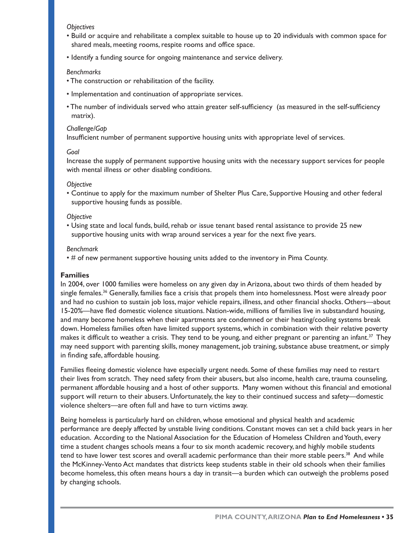*Objectives*

- Build or acquire and rehabilitate a complex suitable to house up to 20 individuals with common space for shared meals, meeting rooms, respite rooms and office space.
- Identify a funding source for ongoing maintenance and service delivery.

#### *Benchmarks*

- The construction or rehabilitation of the facility.
- Implementation and continuation of appropriate services.
- The number of individuals served who attain greater self-sufficiency (as measured in the self-sufficiency matrix).

#### *Challenge/Gap*

Insufficient number of permanent supportive housing units with appropriate level of services.

#### *Goal*

Increase the supply of permanent supportive housing units with the necessary support services for people with mental illness or other disabling conditions.

#### *Objective*

• Continue to apply for the maximum number of Shelter Plus Care, Supportive Housing and other federal supportive housing funds as possible.

#### *Objective*

• Using state and local funds, build, rehab or issue tenant based rental assistance to provide 25 new supportive housing units with wrap around services a year for the next five years.

#### *Benchmark*

• # of new permanent supportive housing units added to the inventory in Pima County.

# **Families**

In 2004, over 1000 families were homeless on any given day in Arizona, about two thirds of them headed by single females.<sup>36</sup> Generally, families face a crisis that propels them into homelessness. Most were already poor and had no cushion to sustain job loss, major vehicle repairs, illness, and other financial shocks. Others—about 15-20%—have fled domestic violence situations. Nation-wide, millions of families live in substandard housing, and many become homeless when their apartments are condemned or their heating/cooling systems break down. Homeless families often have limited support systems, which in combination with their relative poverty makes it difficult to weather a crisis. They tend to be young, and either pregnant or parenting an infant.<sup>37</sup> They may need support with parenting skills, money management, job training, substance abuse treatment, or simply in finding safe, affordable housing.

Families fleeing domestic violence have especially urgent needs. Some of these families may need to restart their lives from scratch. They need safety from their abusers, but also income, health care, trauma counseling, permanent affordable housing and a host of other supports. Many women without this financial and emotional support will return to their abusers. Unfortunately, the key to their continued success and safety—domestic violence shelters—are often full and have to turn victims away.

Being homeless is particularly hard on children, whose emotional and physical health and academic performance are deeply affected by unstable living conditions. Constant moves can set a child back years in her education. According to the National Association for the Education of Homeless Children and Youth, every time a student changes schools means a four to six month academic recovery, and highly mobile students tend to have lower test scores and overall academic performance than their more stable peers.<sup>38</sup> And while the McKinney-Vento Act mandates that districts keep students stable in their old schools when their families become homeless, this often means hours a day in transit—a burden which can outweigh the problems posed by changing schools.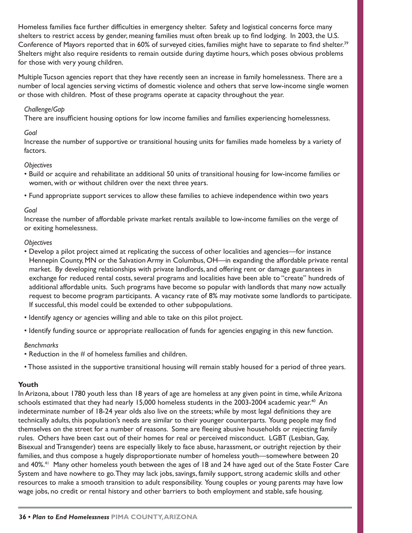Homeless families face further difficulties in emergency shelter. Safety and logistical concerns force many shelters to restrict access by gender, meaning families must often break up to find lodging. In 2003, the U.S. Conference of Mayors reported that in 60% of surveyed cities, families might have to separate to find shelter.<sup>39</sup> Shelters might also require residents to remain outside during daytime hours, which poses obvious problems for those with very young children.

Multiple Tucson agencies report that they have recently seen an increase in family homelessness. There are a number of local agencies serving victims of domestic violence and others that serve low-income single women or those with children. Most of these programs operate at capacity throughout the year.

# *Challenge/Gap*

There are insufficient housing options for low income families and families experiencing homelessness.

# *Goal*

Increase the number of supportive or transitional housing units for families made homeless by a variety of factors.

# *Objectives*

- Build or acquire and rehabilitate an additional 50 units of transitional housing for low-income families or women, with or without children over the next three years.
- Fund appropriate support services to allow these families to achieve independence within two years

# *Goal*

Increase the number of affordable private market rentals available to low-income families on the verge of or exiting homelessness.

# *Objectives*

- Develop a pilot project aimed at replicating the success of other localities and agencies—for instance Hennepin County, MN or the Salvation Army in Columbus, OH—in expanding the affordable private rental market. By developing relationships with private landlords, and offering rent or damage guarantees in exchange for reduced rental costs, several programs and localities have been able to "create" hundreds of additional affordable units. Such programs have become so popular with landlords that many now actually request to become program participants. A vacancy rate of 8% may motivate some landlords to participate. If successful, this model could be extended to other subpopulations.
- Identify agency or agencies willing and able to take on this pilot project.
- Identify funding source or appropriate reallocation of funds for agencies engaging in this new function.

# *Benchmarks*

- Reduction in the # of homeless families and children.
- Those assisted in the supportive transitional housing will remain stably housed for a period of three years.

# **Youth**

In Arizona, about 1780 youth less than 18 years of age are homeless at any given point in time, while Arizona schools estimated that they had nearly 15,000 homeless students in the 2003-2004 academic year.<sup>40</sup> An indeterminate number of 18-24 year olds also live on the streets; while by most legal definitions they are technically adults, this population's needs are similar to their younger counterparts. Young people may find themselves on the street for a number of reasons. Some are fleeing abusive households or rejecting family rules. Others have been cast out of their homes for real or perceived misconduct. LGBT (Lesbian, Gay, Bisexual and Transgender) teens are especially likely to face abuse, harassment, or outright rejection by their families, and thus compose a hugely disproportionate number of homeless youth—somewhere between 20 and 40%.<sup>41</sup> Many other homeless youth between the ages of 18 and 24 have aged out of the State Foster Care System and have nowhere to go. They may lack jobs, savings, family support, strong academic skills and other resources to make a smooth transition to adult responsibility. Young couples or young parents may have low wage jobs, no credit or rental history and other barriers to both employment and stable, safe housing.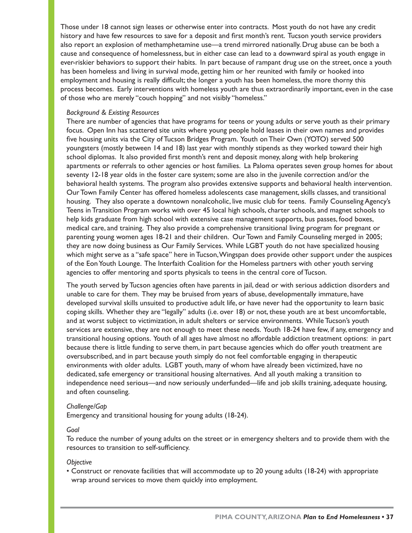Those under 18 cannot sign leases or otherwise enter into contracts. Most youth do not have any credit history and have few resources to save for a deposit and first month's rent. Tucson youth service providers also report an explosion of methamphetamine use—a trend mirrored nationally. Drug abuse can be both a cause and consequence of homelessness, but in either case can lead to a downward spiral as youth engage in ever-riskier behaviors to support their habits. In part because of rampant drug use on the street, once a youth has been homeless and living in survival mode, getting him or her reunited with family or hooked into employment and housing is really difficult; the longer a youth has been homeless, the more thorny this process becomes. Early interventions with homeless youth are thus extraordinarily important, even in the case of those who are merely "couch hopping" and not visibly "homeless."

#### *Background & Existing Resources*

There are number of agencies that have programs for teens or young adults or serve youth as their primary focus. Open Inn has scattered site units where young people hold leases in their own names and provides five housing units via the City of Tucson Bridges Program. Youth on Their Own (YOTO) served 500 youngsters (mostly between 14 and 18) last year with monthly stipends as they worked toward their high school diplomas. It also provided first month's rent and deposit money, along with help brokering apartments or referrals to other agencies or host families. La Paloma operates seven group homes for about seventy 12-18 year olds in the foster care system; some are also in the juvenile correction and/or the behavioral health systems. The program also provides extensive supports and behavioral health intervention. Our Town Family Center has offered homeless adolescents case management, skills classes, and transitional housing. They also operate a downtown nonalcoholic, live music club for teens. Family Counseling Agency's Teens in Transition Program works with over 45 local high schools, charter schools, and magnet schools to help kids graduate from high school with extensive case management supports, bus passes, food boxes, medical care, and training. They also provide a comprehensive transitional living program for pregnant or parenting young women ages 18-21 and their children. Our Town and Family Counseling merged in 2005; they are now doing business as Our Family Services. While LGBT youth do not have specialized housing which might serve as a "safe space" here in Tucson, Wingspan does provide other support under the auspices of the Eon Youth Lounge. The Interfaith Coalition for the Homeless partners with other youth serving agencies to offer mentoring and sports physicals to teens in the central core of Tucson.

The youth served by Tucson agencies often have parents in jail, dead or with serious addiction disorders and unable to care for them. They may be bruised from years of abuse, developmentally immature, have developed survival skills unsuited to productive adult life, or have never had the opportunity to learn basic coping skills. Whether they are "legally" adults (i.e. over 18) or not, these youth are at best uncomfortable, and at worst subject to victimization, in adult shelters or service environments. While Tucson's youth services are extensive, they are not enough to meet these needs. Youth 18-24 have few, if any, emergency and transitional housing options. Youth of all ages have almost no affordable addiction treatment options: in part because there is little funding to serve them, in part because agencies which do offer youth treatment are oversubscribed, and in part because youth simply do not feel comfortable engaging in therapeutic environments with older adults. LGBT youth, many of whom have already been victimized, have no dedicated, safe emergency or transitional housing alternatives. And all youth making a transition to independence need serious—and now seriously underfunded—life and job skills training, adequate housing, and often counseling.

# *Challenge/Gap*

Emergency and transitional housing for young adults (18-24).

# *Goal*

To reduce the number of young adults on the street or in emergency shelters and to provide them with the resources to transition to self-sufficiency.

# *Objective*

• Construct or renovate facilities that will accommodate up to 20 young adults (18-24) with appropriate wrap around services to move them quickly into employment.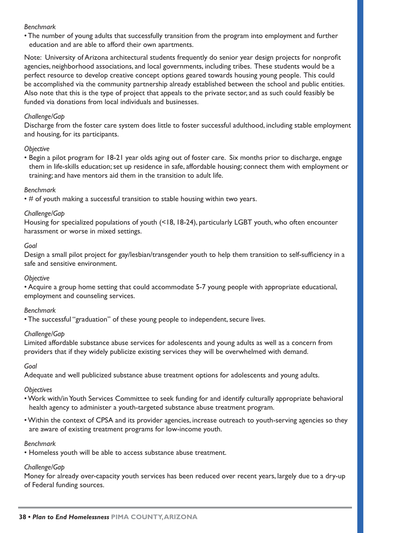# *Benchmark*

• The number of young adults that successfully transition from the program into employment and further education and are able to afford their own apartments.

Note: University of Arizona architectural students frequently do senior year design projects for nonprofit agencies, neighborhood associations, and local governments, including tribes. These students would be a perfect resource to develop creative concept options geared towards housing young people. This could be accomplished via the community partnership already established between the school and public entities. Also note that this is the type of project that appeals to the private sector, and as such could feasibly be funded via donations from local individuals and businesses.

# *Challenge/Gap*

Discharge from the foster care system does little to foster successful adulthood, including stable employment and housing, for its participants.

# *Objective*

• Begin a pilot program for 18-21 year olds aging out of foster care. Six months prior to discharge, engage them in life-skills education; set up residence in safe, affordable housing; connect them with employment or training; and have mentors aid them in the transition to adult life.

# *Benchmark*

• # of youth making a successful transition to stable housing within two years.

# *Challenge/Gap*

Housing for specialized populations of youth (<18, 18-24), particularly LGBT youth, who often encounter harassment or worse in mixed settings.

# *Goal*

Design a small pilot project for gay/lesbian/transgender youth to help them transition to self-sufficiency in a safe and sensitive environment.

# *Objective*

• Acquire a group home setting that could accommodate 5-7 young people with appropriate educational, employment and counseling services.

# *Benchmark*

• The successful "graduation" of these young people to independent, secure lives.

# *Challenge/Gap*

Limited affordable substance abuse services for adolescents and young adults as well as a concern from providers that if they widely publicize existing services they will be overwhelmed with demand.

# *Goal*

Adequate and well publicized substance abuse treatment options for adolescents and young adults.

# *Objectives*

- Work with/in Youth Services Committee to seek funding for and identify culturally appropriate behavioral health agency to administer a youth-targeted substance abuse treatment program.
- Within the context of CPSA and its provider agencies, increase outreach to youth-serving agencies so they are aware of existing treatment programs for low-income youth.

# *Benchmark*

• Homeless youth will be able to access substance abuse treatment.

# *Challenge/Gap*

Money for already over-capacity youth services has been reduced over recent years, largely due to a dry-up of Federal funding sources.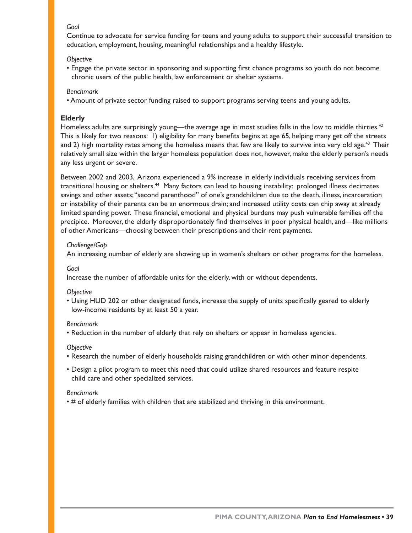#### *Goal*

Continue to advocate for service funding for teens and young adults to support their successful transition to education, employment, housing, meaningful relationships and a healthy lifestyle.

#### *Objective*

• Engage the private sector in sponsoring and supporting first chance programs so youth do not become chronic users of the public health, law enforcement or shelter systems.

#### *Benchmark*

• Amount of private sector funding raised to support programs serving teens and young adults.

# **Elderly**

Homeless adults are surprisingly young—the average age in most studies falls in the low to middle thirties.<sup>42</sup> This is likely for two reasons: 1) eligibility for many benefits begins at age 65, helping many get off the streets and 2) high mortality rates among the homeless means that few are likely to survive into very old age.<sup>43</sup> Their relatively small size within the larger homeless population does not, however, make the elderly person's needs any less urgent or severe.

Between 2002 and 2003, Arizona experienced a 9% increase in elderly individuals receiving services from transitional housing or shelters.44 Many factors can lead to housing instability: prolonged illness decimates savings and other assets; "second parenthood" of one's grandchildren due to the death, illness, incarceration or instability of their parents can be an enormous drain; and increased utility costs can chip away at already limited spending power. These financial, emotional and physical burdens may push vulnerable families off the precipice. Moreover, the elderly disproportionately find themselves in poor physical health, and—like millions of other Americans—choosing between their prescriptions and their rent payments.

#### *Challenge/Gap*

An increasing number of elderly are showing up in women's shelters or other programs for the homeless.

#### *Goal*

Increase the number of affordable units for the elderly, with or without dependents.

#### *Objective*

• Using HUD 202 or other designated funds, increase the supply of units specifically geared to elderly low-income residents by at least 50 a year.

#### *Benchmark*

• Reduction in the number of elderly that rely on shelters or appear in homeless agencies.

#### *Objective*

- Research the number of elderly households raising grandchildren or with other minor dependents.
- Design a pilot program to meet this need that could utilize shared resources and feature respite child care and other specialized services.

#### *Benchmark*

• # of elderly families with children that are stabilized and thriving in this environment.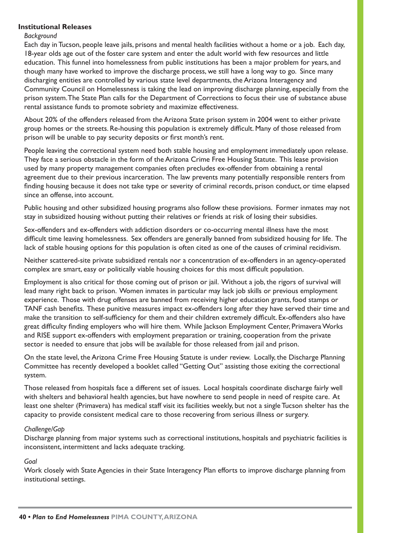#### **Institutional Releases**

#### *Background*

Each day in Tucson, people leave jails, prisons and mental health facilities without a home or a job. Each day, 18-year olds age out of the foster care system and enter the adult world with few resources and little education. This funnel into homelessness from public institutions has been a major problem for years, and though many have worked to improve the discharge process, we still have a long way to go. Since many discharging entities are controlled by various state level departments, the Arizona Interagency and Community Council on Homelessness is taking the lead on improving discharge planning, especially from the prison system. The State Plan calls for the Department of Corrections to focus their use of substance abuse rental assistance funds to promote sobriety and maximize effectiveness.

About 20% of the offenders released from the Arizona State prison system in 2004 went to either private group homes or the streets. Re-housing this population is extremely difficult. Many of those released from prison will be unable to pay security deposits or first month's rent.

People leaving the correctional system need both stable housing and employment immediately upon release. They face a serious obstacle in the form of the Arizona Crime Free Housing Statute. This lease provision used by many property management companies often precludes ex-offender from obtaining a rental agreement due to their previous incarceration. The law prevents many potentially responsible renters from finding housing because it does not take type or severity of criminal records, prison conduct, or time elapsed since an offense, into account.

Public housing and other subsidized housing programs also follow these provisions. Former inmates may not stay in subsidized housing without putting their relatives or friends at risk of losing their subsidies.

Sex-offenders and ex-offenders with addiction disorders or co-occurring mental illness have the most difficult time leaving homelessness. Sex offenders are generally banned from subsidized housing for life. The lack of stable housing options for this population is often cited as one of the causes of criminal recidivism.

Neither scattered-site private subsidized rentals nor a concentration of ex-offenders in an agency-operated complex are smart, easy or politically viable housing choices for this most difficult population.

Employment is also critical for those coming out of prison or jail. Without a job, the rigors of survival will lead many right back to prison. Women inmates in particular may lack job skills or previous employment experience. Those with drug offenses are banned from receiving higher education grants, food stamps or TANF cash benefits. These punitive measures impact ex-offenders long after they have served their time and make the transition to self-sufficiency for them and their children extremely difficult. Ex-offenders also have great difficulty finding employers who will hire them. While Jackson Employment Center, Primavera Works and RISE support ex-offenders with employment preparation or training, cooperation from the private sector is needed to ensure that jobs will be available for those released from jail and prison.

On the state level, the Arizona Crime Free Housing Statute is under review. Locally, the Discharge Planning Committee has recently developed a booklet called "Getting Out" assisting those exiting the correctional system.

Those released from hospitals face a different set of issues. Local hospitals coordinate discharge fairly well with shelters and behavioral health agencies, but have nowhere to send people in need of respite care. At least one shelter (Primavera) has medical staff visit its facilities weekly, but not a single Tucson shelter has the capacity to provide consistent medical care to those recovering from serious illness or surgery.

# *Challenge/Gap*

Discharge planning from major systems such as correctional institutions, hospitals and psychiatric facilities is inconsistent, intermittent and lacks adequate tracking.

# *Goal*

Work closely with State Agencies in their State Interagency Plan efforts to improve discharge planning from institutional settings.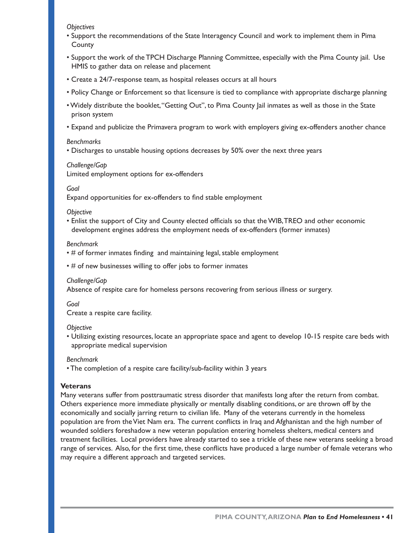*Objectives*

- Support the recommendations of the State Interagency Council and work to implement them in Pima **County**
- Support the work of the TPCH Discharge Planning Committee, especially with the Pima County jail. Use HMIS to gather data on release and placement
- Create a 24/7-response team, as hospital releases occurs at all hours
- Policy Change or Enforcement so that licensure is tied to compliance with appropriate discharge planning
- Widely distribute the booklet, "Getting Out", to Pima County Jail inmates as well as those in the State prison system
- Expand and publicize the Primavera program to work with employers giving ex-offenders another chance

# *Benchmarks*

• Discharges to unstable housing options decreases by 50% over the next three years

# *Challenge/Gap*

Limited employment options for ex-offenders

# *Goal*

Expand opportunities for ex-offenders to find stable employment

#### *Objective*

• Enlist the support of City and County elected officials so that the WIB, TREO and other economic development engines address the employment needs of ex-offenders (former inmates)

#### *Benchmark*

- $*$  # of former inmates finding and maintaining legal, stable employment
- # of new businesses willing to offer jobs to former inmates

# *Challenge/Gap*

Absence of respite care for homeless persons recovering from serious illness or surgery.

#### *Goal*

Create a respite care facility.

#### *Objective*

• Utilizing existing resources, locate an appropriate space and agent to develop 10-15 respite care beds with appropriate medical supervision

# *Benchmark*

• The completion of a respite care facility/sub-facility within 3 years

# **Veterans**

Many veterans suffer from posttraumatic stress disorder that manifests long after the return from combat. Others experience more immediate physically or mentally disabling conditions, or are thrown off by the economically and socially jarring return to civilian life. Many of the veterans currently in the homeless population are from the Viet Nam era. The current conflicts in Iraq and Afghanistan and the high number of wounded soldiers foreshadow a new veteran population entering homeless shelters, medical centers and treatment facilities. Local providers have already started to see a trickle of these new veterans seeking a broad range of services. Also, for the first time, these conflicts have produced a large number of female veterans who may require a different approach and targeted services.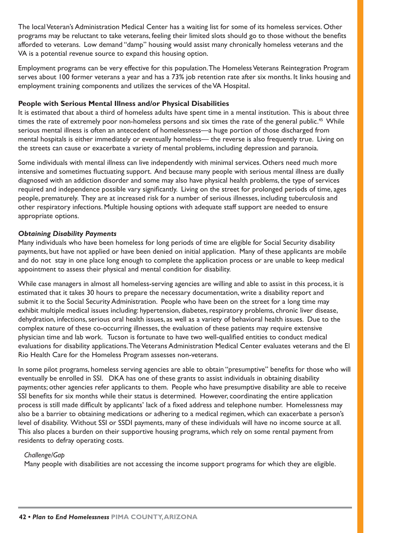The local Veteran's Administration Medical Center has a waiting list for some of its homeless services. Other programs may be reluctant to take veterans, feeling their limited slots should go to those without the benefits afforded to veterans. Low demand "damp" housing would assist many chronically homeless veterans and the VA is a potential revenue source to expand this housing option.

Employment programs can be very effective for this population. The Homeless Veterans Reintegration Program serves about 100 former veterans a year and has a 73% job retention rate after six months. It links housing and employment training components and utilizes the services of the VA Hospital.

# **People with Serious Mental Illness and/or Physical Disabilities**

It is estimated that about a third of homeless adults have spent time in a mental institution. This is about three times the rate of extremely poor non-homeless persons and six times the rate of the general public.<sup>45</sup> While serious mental illness is often an antecedent of homelessness—a huge portion of those discharged from mental hospitals is either immediately or eventually homeless— the reverse is also frequently true. Living on the streets can cause or exacerbate a variety of mental problems, including depression and paranoia.

Some individuals with mental illness can live independently with minimal services. Others need much more intensive and sometimes fluctuating support. And because many people with serious mental illness are dually diagnosed with an addiction disorder and some may also have physical health problems, the type of services required and independence possible vary significantly. Living on the street for prolonged periods of time, ages people, prematurely. They are at increased risk for a number of serious illnesses, including tuberculosis and other respiratory infections. Multiple housing options with adequate staff support are needed to ensure appropriate options.

# *Obtaining Disability Payments*

Many individuals who have been homeless for long periods of time are eligible for Social Security disability payments, but have not applied or have been denied on initial application. Many of these applicants are mobile and do not stay in one place long enough to complete the application process or are unable to keep medical appointment to assess their physical and mental condition for disability.

While case managers in almost all homeless-serving agencies are willing and able to assist in this process, it is estimated that it takes 30 hours to prepare the necessary documentation, write a disability report and submit it to the Social Security Administration. People who have been on the street for a long time may exhibit multiple medical issues including: hypertension, diabetes, respiratory problems, chronic liver disease, dehydration, infections, serious oral health issues, as well as a variety of behavioral health issues. Due to the complex nature of these co-occurring illnesses, the evaluation of these patients may require extensive physician time and lab work. Tucson is fortunate to have two well-qualified entities to conduct medical evaluations for disability applications. The Veterans Administration Medical Center evaluates veterans and the El Rio Health Care for the Homeless Program assesses non-veterans.

In some pilot programs, homeless serving agencies are able to obtain "presumptive" benefits for those who will eventually be enrolled in SSI. DKA has one of these grants to assist individuals in obtaining disability payments; other agencies refer applicants to them. People who have presumptive disability are able to receive SSI benefits for six months while their status is determined. However, coordinating the entire application process is still made difficult by applicants' lack of a fixed address and telephone number. Homelessness may also be a barrier to obtaining medications or adhering to a medical regimen, which can exacerbate a person's level of disability. Without SSI or SSDI payments, many of these individuals will have no income source at all. This also places a burden on their supportive housing programs, which rely on some rental payment from residents to defray operating costs.

# *Challenge/Gap*

Many people with disabilities are not accessing the income support programs for which they are eligible.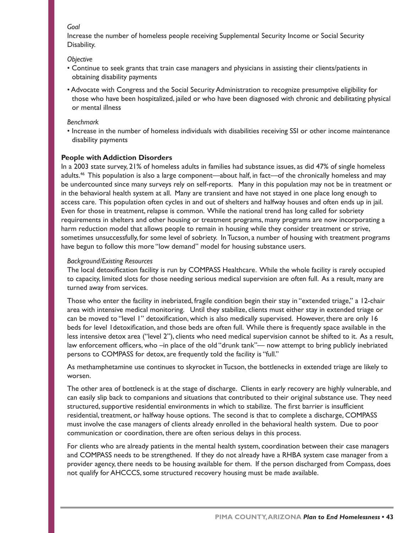#### *Goal*

Increase the number of homeless people receiving Supplemental Security Income or Social Security Disability.

*Objective*

- Continue to seek grants that train case managers and physicians in assisting their clients/patients in obtaining disability payments
- Advocate with Congress and the Social Security Administration to recognize presumptive eligibility for those who have been hospitalized, jailed or who have been diagnosed with chronic and debilitating physical or mental illness

#### *Benchmark*

• Increase in the number of homeless individuals with disabilities receiving SSI or other income maintenance disability payments

# **People with Addiction Disorders**

In a 2003 state survey, 21% of homeless adults in families had substance issues, as did 47% of single homeless adults.46 This population is also a large component—about half, in fact—of the chronically homeless and may be undercounted since many surveys rely on self-reports. Many in this population may not be in treatment or in the behavioral health system at all. Many are transient and have not stayed in one place long enough to access care. This population often cycles in and out of shelters and halfway houses and often ends up in jail. Even for those in treatment, relapse is common. While the national trend has long called for sobriety requirements in shelters and other housing or treatment programs, many programs are now incorporating a harm reduction model that allows people to remain in housing while they consider treatment or strive, sometimes unsuccessfully, for some level of sobriety. In Tucson, a number of housing with treatment programs have begun to follow this more "low demand" model for housing substance users.

# *Background/Existing Resources*

The local detoxification facility is run by COMPASS Healthcare. While the whole facility is rarely occupied to capacity, limited slots for those needing serious medical supervision are often full. As a result, many are turned away from services.

Those who enter the facility in inebriated, fragile condition begin their stay in "extended triage," a 12-chair area with intensive medical monitoring. Until they stabilize, clients must either stay in extended triage or can be moved to "level 1" detoxification, which is also medically supervised. However, there are only 16 beds for level Idetoxification, and those beds are often full. While there is frequently space available in the less intensive detox area ("level 2"), clients who need medical supervision cannot be shifted to it. As a result, law enforcement officers, who –in place of the old "drunk tank"— now attempt to bring publicly inebriated persons to COMPASS for detox, are frequently told the facility is "full."

As methamphetamine use continues to skyrocket in Tucson, the bottlenecks in extended triage are likely to worsen.

The other area of bottleneck is at the stage of discharge. Clients in early recovery are highly vulnerable, and can easily slip back to companions and situations that contributed to their original substance use. They need structured, supportive residential environments in which to stabilize. The first barrier is insufficient residential, treatment, or halfway house options. The second is that to complete a discharge, COMPASS must involve the case managers of clients already enrolled in the behavioral health system. Due to poor communication or coordination, there are often serious delays in this process.

For clients who are already patients in the mental health system, coordination between their case managers and COMPASS needs to be strengthened. If they do not already have a RHBA system case manager from a provider agency, there needs to be housing available for them. If the person discharged from Compass, does not qualify for AHCCCS, some structured recovery housing must be made available.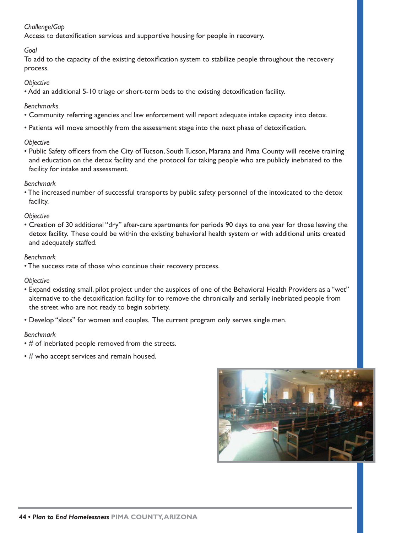# *Challenge/Gap*

Access to detoxification services and supportive housing for people in recovery.

# *Goal*

To add to the capacity of the existing detoxification system to stabilize people throughout the recovery process.

# *Objective*

• Add an additional 5-10 triage or short-term beds to the existing detoxification facility.

# *Benchmarks*

- Community referring agencies and law enforcement will report adequate intake capacity into detox.
- Patients will move smoothly from the assessment stage into the next phase of detoxification.

# *Objective*

• Public Safety officers from the City of Tucson, South Tucson, Marana and Pima County will receive training and education on the detox facility and the protocol for taking people who are publicly inebriated to the facility for intake and assessment.

# *Benchmark*

• The increased number of successful transports by public safety personnel of the intoxicated to the detox facility.

# *Objective*

• Creation of 30 additional "dry" after-care apartments for periods 90 days to one year for those leaving the detox facility. These could be within the existing behavioral health system or with additional units created and adequately staffed.

# *Benchmark*

• The success rate of those who continue their recovery process.

# *Objective*

- Expand existing small, pilot project under the auspices of one of the Behavioral Health Providers as a "wet" alternative to the detoxification facility for to remove the chronically and serially inebriated people from the street who are not ready to begin sobriety.
- Develop "slots" for women and couples. The current program only serves single men.

# *Benchmark*

- # of inebriated people removed from the streets.
- # who accept services and remain housed.

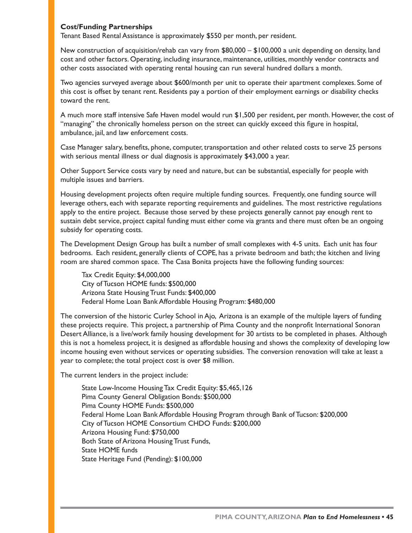# **Cost/Funding Partnerships**

Tenant Based Rental Assistance is approximately \$550 per month, per resident.

New construction of acquisition/rehab can vary from \$80,000 – \$100,000 a unit depending on density, land cost and other factors. Operating, including insurance, maintenance, utilities, monthly vendor contracts and other costs associated with operating rental housing can run several hundred dollars a month.

Two agencies surveyed average about \$600/month per unit to operate their apartment complexes. Some of this cost is offset by tenant rent. Residents pay a portion of their employment earnings or disability checks toward the rent.

A much more staff intensive Safe Haven model would run \$1,500 per resident, per month. However, the cost of "managing" the chronically homeless person on the street can quickly exceed this figure in hospital, ambulance, jail, and law enforcement costs.

Case Manager salary, benefits, phone, computer, transportation and other related costs to serve 25 persons with serious mental illness or dual diagnosis is approximately \$43,000 a year.

Other Support Service costs vary by need and nature, but can be substantial, especially for people with multiple issues and barriers.

Housing development projects often require multiple funding sources. Frequently, one funding source will leverage others, each with separate reporting requirements and guidelines. The most restrictive regulations apply to the entire project. Because those served by these projects generally cannot pay enough rent to sustain debt service, project capital funding must either come via grants and there must often be an ongoing subsidy for operating costs.

The Development Design Group has built a number of small complexes with 4-5 units. Each unit has four bedrooms. Each resident, generally clients of COPE, has a private bedroom and bath; the kitchen and living room are shared common space. The Casa Bonita projects have the following funding sources:

Tax Credit Equity: \$4,000,000 City of Tucson HOME funds: \$500,000 Arizona State Housing Trust Funds: \$400,000 Federal Home Loan Bank Affordable Housing Program: \$480,000

The conversion of the historic Curley School in Ajo, Arizona is an example of the multiple layers of funding these projects require. This project, a partnership of Pima County and the nonprofit International Sonoran Desert Alliance, is a live/work family housing development for 30 artists to be completed in phases. Although this is not a homeless project, it is designed as affordable housing and shows the complexity of developing low income housing even without services or operating subsidies. The conversion renovation will take at least a year to complete; the total project cost is over \$8 million.

The current lenders in the project include:

State Low-Income Housing Tax Credit Equity: \$5,465,126 Pima County General Obligation Bonds: \$500,000 Pima County HOME Funds: \$500,000 Federal Home Loan Bank Affordable Housing Program through Bank of Tucson: \$200,000 City of Tucson HOME Consortium CHDO Funds: \$200,000 Arizona Housing Fund: \$750,000 Both State of Arizona Housing Trust Funds, State HOME funds State Heritage Fund (Pending): \$100,000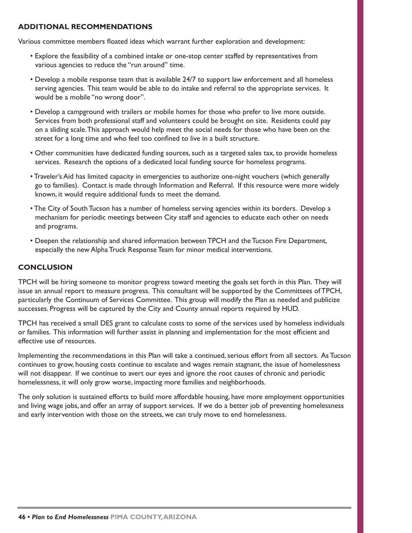# **ADDITIONAL RECOMMENDATIONS**

Various committee members floated ideas which warrant further exploration and development:

- Explore the feasibility of a combined intake or one-stop center staffed by representatives from various agencies to reduce the "run around" time.
- Develop a mobile response team that is available 24/7 to support law enforcement and all homeless serving agencies. This team would be able to do intake and referral to the appropriate services. It would be a mobile "no wrong door".
- Develop a campground with trailers or mobile homes for those who prefer to live more outside. Services from both professional staff and volunteers could be brought on site. Residents could pay on a sliding scale. This approach would help meet the social needs for those who have been on the street for a long time and who feel too confined to live in a built structure.
- Other communities have dedicated funding sources, such as a targeted sales tax, to provide homeless services. Research the options of a dedicated local funding source for homeless programs.
- Traveler's Aid has limited capacity in emergencies to authorize one-night vouchers (which generally go to families). Contact is made through Information and Referral. If this resource were more widely known, it would require additional funds to meet the demand.
- The City of South Tucson has a number of homeless serving agencies within its borders. Develop a mechanism for periodic meetings between City staff and agencies to educate each other on needs and programs.
- Deepen the relationship and shared information between TPCH and the Tucson Fire Department, especially the new Alpha Truck Response Team for minor medical interventions.

# **CONCLUSION**

TPCH will be hiring someone to monitor progress toward meeting the goals set forth in this Plan. They will issue an annual report to measure progress. This consultant will be supported by the Committees of TPCH, particularly the Continuum of Services Committee. This group will modify the Plan as needed and publicize successes. Progress will be captured by the City and County annual reports required by HUD.

TPCH has received a small DES grant to calculate costs to some of the services used by homeless individuals or families. This information will further assist in planning and implementation for the most efficient and effective use of resources.

Implementing the recommendations in this Plan will take a continued, serious effort from all sectors. As Tucson continues to grow, housing costs continue to escalate and wages remain stagnant, the issue of homelessness will not disappear. If we continue to avert our eyes and ignore the root causes of chronic and periodic homelessness, it will only grow worse, impacting more families and neighborhoods.

The only solution is sustained efforts to build more affordable housing, have more employment opportunities and living wage jobs, and offer an array of support services. If we do a better job of preventing homelessness and early intervention with those on the streets, we can truly move to end homelessness.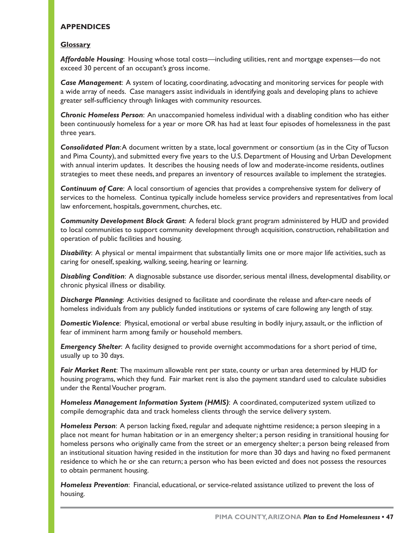# **APPENDICES**

# **Glossary**

*Affordable Housing*: Housing whose total costs—including utilities, rent and mortgage expenses—do not exceed 30 percent of an occupant's gross income.

*Case Management*: A system of locating, coordinating, advocating and monitoring services for people with a wide array of needs. Case managers assist individuals in identifying goals and developing plans to achieve greater self-sufficiency through linkages with community resources.

*Chronic Homeless Person*: An unaccompanied homeless individual with a disabling condition who has either been continuously homeless for a year or more OR has had at least four episodes of homelessness in the past three years.

*Consolidated Plan*: A document written by a state, local government or consortium (as in the City of Tucson and Pima County), and submitted every five years to the U.S. Department of Housing and Urban Development with annual interim updates. It describes the housing needs of low and moderate-income residents, outlines strategies to meet these needs, and prepares an inventory of resources available to implement the strategies.

*Continuum of Care*: A local consortium of agencies that provides a comprehensive system for delivery of services to the homeless. Continua typically include homeless service providers and representatives from local law enforcement, hospitals, government, churches, etc.

*Community Development Block Grant*: A federal block grant program administered by HUD and provided to local communities to support community development through acquisition, construction, rehabilitation and operation of public facilities and housing.

*Disability*: A physical or mental impairment that substantially limits one or more major life activities, such as caring for oneself, speaking, walking, seeing, hearing or learning.

*Disabling Condition*: A diagnosable substance use disorder, serious mental illness, developmental disability, or chronic physical illness or disability.

*Discharge Planning*: Activities designed to facilitate and coordinate the release and after-care needs of homeless individuals from any publicly funded institutions or systems of care following any length of stay.

**Domestic Violence**: Physical, emotional or verbal abuse resulting in bodily injury, assault, or the infliction of fear of imminent harm among family or household members.

*Emergency Shelter*: A facility designed to provide overnight accommodations for a short period of time, usually up to 30 days.

*Fair Market Rent*: The maximum allowable rent per state, county or urban area determined by HUD for housing programs, which they fund. Fair market rent is also the payment standard used to calculate subsidies under the Rental Voucher program.

*Homeless Management Information System (HMIS)*: A coordinated, computerized system utilized to compile demographic data and track homeless clients through the service delivery system.

Homeless Person: A person lacking fixed, regular and adequate nighttime residence; a person sleeping in a place not meant for human habitation or in an emergency shelter; a person residing in transitional housing for homeless persons who originally came from the street or an emergency shelter; a person being released from an institutional situation having resided in the institution for more than 30 days and having no fixed permanent residence to which he or she can return; a person who has been evicted and does not possess the resources to obtain permanent housing.

*Homeless Prevention*: Financial, educational, or service-related assistance utilized to prevent the loss of housing.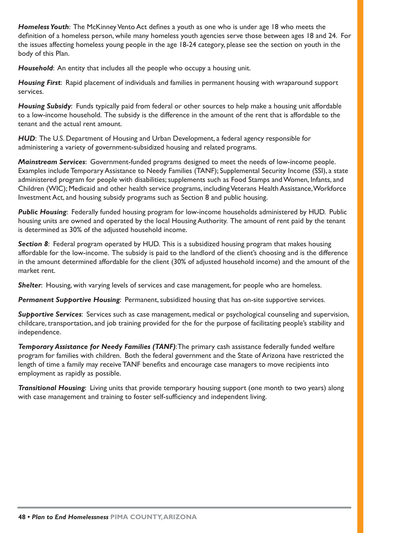**Homeless Youth**: The McKinney Vento Act defines a youth as one who is under age 18 who meets the definition of a homeless person, while many homeless youth agencies serve those between ages 18 and 24. For the issues affecting homeless young people in the age 18-24 category, please see the section on youth in the body of this Plan.

*Household*: An entity that includes all the people who occupy a housing unit.

*Housing First*: Rapid placement of individuals and families in permanent housing with wraparound support services.

*Housing Subsidy*: Funds typically paid from federal or other sources to help make a housing unit affordable to a low-income household. The subsidy is the difference in the amount of the rent that is affordable to the tenant and the actual rent amount.

**HUD**: The U.S. Department of Housing and Urban Development, a federal agency responsible for administering a variety of government-subsidized housing and related programs.

*Mainstream Services*: Government-funded programs designed to meet the needs of low-income people. Examples include Temporary Assistance to Needy Families (TANF); Supplemental Security Income (SSI), a state administered program for people with disabilities; supplements such as Food Stamps and Women, Infants, and Children (WIC); Medicaid and other health service programs, including Veterans Health Assistance, Workforce Investment Act, and housing subsidy programs such as Section 8 and public housing.

*Public Housing*: Federally funded housing program for low-income households administered by HUD. Public housing units are owned and operated by the local Housing Authority. The amount of rent paid by the tenant is determined as 30% of the adjusted household income.

**Section 8:** Federal program operated by HUD. This is a subsidized housing program that makes housing affordable for the low-income. The subsidy is paid to the landlord of the client's choosing and is the difference in the amount determined affordable for the client (30% of adjusted household income) and the amount of the market rent.

*Shelter*: Housing, with varying levels of services and case management, for people who are homeless.

*Permanent Supportive Housing*: Permanent, subsidized housing that has on-site supportive services.

*Supportive Services*: Services such as case management, medical or psychological counseling and supervision, childcare, transportation, and job training provided for the for the purpose of facilitating people's stability and independence.

*Temporary Assistance for Needy Families (TANF)*: The primary cash assistance federally funded welfare program for families with children. Both the federal government and the State of Arizona have restricted the length of time a family may receive TANF benefits and encourage case managers to move recipients into employment as rapidly as possible.

*Transitional Housing*: Living units that provide temporary housing support (one month to two years) along with case management and training to foster self-sufficiency and independent living.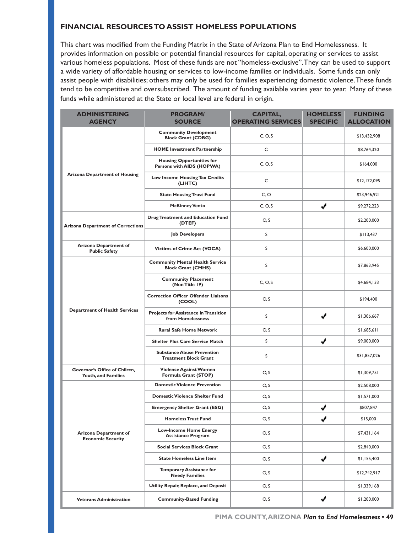# **FINANCIAL RESOURCES TO ASSIST HOMELESS POPULATIONS**

This chart was modified from the Funding Matrix in the State of Arizona Plan to End Homelessness. It provides information on possible or potential financial resources for capital, operating or services to assist various homeless populations. Most of these funds are not "homeless-exclusive". They can be used to support a wide variety of affordable housing or services to low-income families or individuals. Some funds can only assist people with disabilities; others may only be used for families experiencing domestic violence. These funds tend to be competitive and oversubscribed. The amount of funding available varies year to year. Many of these funds while administered at the State or local level are federal in origin.

| <b>ADMINISTERING</b><br><b>AGENCY</b>                    | <b>PROGRAM/</b><br><b>SOURCE</b>                                    | <b>CAPITAL,</b><br><b>OPERATING SERVICES</b> | <b>HOMELESS</b><br><b>SPECIFIC</b> | <b>FUNDING</b><br><b>ALLOCATION</b> |
|----------------------------------------------------------|---------------------------------------------------------------------|----------------------------------------------|------------------------------------|-------------------------------------|
|                                                          | <b>Community Development</b><br><b>Block Grant (CDBG)</b>           | C, O, S                                      |                                    | \$13,432,908                        |
|                                                          | <b>HOME Investment Partnership</b>                                  | C                                            |                                    | \$8,764,320                         |
|                                                          | <b>Housing Opportunities for</b><br>Persons with AIDS (HOPWA)       | C, O, S                                      |                                    | \$164,000                           |
| <b>Arizona Department of Housing</b>                     | Low Income Housing Tax Credits<br>(LIHTC)                           | C                                            |                                    | \$12,172,095                        |
|                                                          | <b>State Housing Trust Fund</b>                                     | C, O                                         |                                    | \$23,946,921                        |
|                                                          | <b>McKinney Vento</b>                                               | C, O, S                                      | ✔                                  | \$9,272,223                         |
| <b>Arizona Department of Corrections</b>                 | <b>Drug Treatment and Education Fund</b><br>(DTEF)                  | O, S                                         |                                    | \$2,200,000                         |
|                                                          | <b>Job Developers</b>                                               | S                                            |                                    | \$113,437                           |
| <b>Arizona Department of</b><br><b>Public Safety</b>     | <b>Victims of Crime Act (VOCA)</b>                                  | S                                            |                                    | \$6,600,000                         |
| <b>Department of Health Services</b>                     | <b>Community Mental Health Service</b><br><b>Block Grant (CMHS)</b> | S                                            |                                    | \$7,863,945                         |
|                                                          | <b>Community Placement</b><br>(Non Title 19)                        | C, O, S                                      |                                    | \$4,684,133                         |
|                                                          | <b>Correction Officer Offender Liaisons</b><br>(COOL)               | O, S                                         |                                    | \$194,400                           |
|                                                          | <b>Projects for Assistance in Transition</b><br>from Homelessness   | S                                            |                                    | \$1,306,667                         |
|                                                          | <b>Rural Safe Home Network</b>                                      | O, S                                         |                                    | \$1,685,611                         |
|                                                          | <b>Shelter Plus Care Service Match</b>                              | S                                            | ✔                                  | \$9,000,000                         |
|                                                          | <b>Substance Abuse Prevention</b><br><b>Treatment Block Grant</b>   | S                                            |                                    | \$31,857,026                        |
| Governor's Office of Chilren,<br>Youth, and Families     | <b>Violence Against Women</b><br>Formula Grant (STOP)               | O, S                                         |                                    | \$1,309,751                         |
|                                                          | <b>Domestic Violence Prevention</b>                                 | O, S                                         |                                    | \$2,508,000                         |
|                                                          | <b>Domestic Violence Shelter Fund</b>                               | O, S                                         |                                    | \$1,571,000                         |
|                                                          | <b>Emergency Shelter Grant (ESG)</b>                                | O, S                                         | ✔                                  | \$807,847                           |
|                                                          | <b>Homeless Trust Fund</b>                                          | O, S                                         | ✔                                  | \$15,000                            |
| <b>Arizona Department of</b><br><b>Economic Security</b> | <b>Low-Income Home Energy</b><br><b>Assistance Program</b>          | O, S                                         |                                    | \$7,431,164                         |
|                                                          | <b>Social Services Block Grant</b>                                  | O, S                                         |                                    | \$2,840,000                         |
|                                                          | <b>State Homeless Line Item</b>                                     | O, S                                         | ✔                                  | \$1,155,400                         |
|                                                          | <b>Temporary Assistance for</b><br><b>Needy Families</b>            | O, S                                         |                                    | \$12,742,917                        |
|                                                          | Utility Repair, Replace, and Deposit                                | O, S                                         |                                    | \$1,339,168                         |
| <b>Veterans Administration</b>                           | <b>Community-Based Funding</b>                                      | O, S                                         | J                                  | \$1,200,000                         |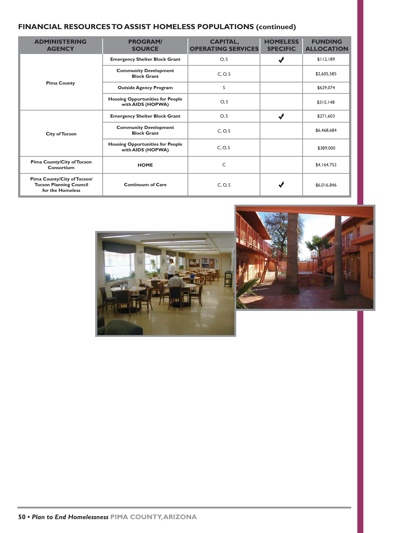# **FINANCIAL RESOURCES TO ASSIST HOMELESS POPULATIONS (continued)**

| <b>ADMINISTERING</b><br><b>AGENCY</b>                                             | <b>PROGRAM/</b><br><b>SOURCE</b>                             | <b>CAPITAL,</b><br><b>OPERATING SERVICES</b> | <b>HOMELESS</b><br><b>SPECIFIC</b> | <b>FUNDING</b><br><b>ALLOCATION</b> |
|-----------------------------------------------------------------------------------|--------------------------------------------------------------|----------------------------------------------|------------------------------------|-------------------------------------|
| <b>Pima County</b>                                                                | <b>Emergency Shelter Block Grant</b>                         | O, S                                         |                                    | \$112,189                           |
|                                                                                   | <b>Community Development</b><br><b>Block Grant</b>           | C, O, S                                      |                                    | \$2,605,585                         |
|                                                                                   | <b>Outside Agency Program</b>                                | S                                            |                                    | \$629,074                           |
|                                                                                   | <b>Housing Opportunities for People</b><br>with AIDS (HOPWA) | O, S                                         |                                    | \$315,148                           |
| <b>City of Tucson</b>                                                             | <b>Emergency Shelter Block Grant</b>                         | O, S                                         | √                                  | \$271,603                           |
|                                                                                   | <b>Community Development</b><br><b>Block Grant</b>           | C, O, S                                      |                                    | \$6,468,684                         |
|                                                                                   | <b>Housing Opportunities for People</b><br>with AIDS (HOPWA) | C, O, S                                      |                                    | \$389,000                           |
| Pima County/City of Tucson<br>Consortium                                          | <b>HOME</b>                                                  | C                                            |                                    | \$4,164,752                         |
| Pima County/City of Tucson/<br><b>Tucson Planning Council</b><br>for the Homeless | <b>Continuum of Care</b>                                     | C, O, S                                      |                                    | \$6,016,846                         |



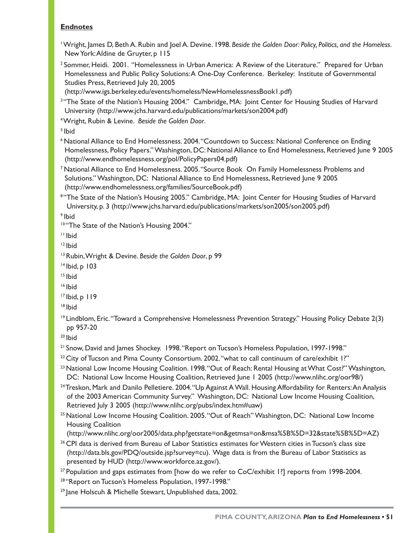# **Endnotes**

1 Wright, James D, Beth A. Rubin and Joel A. Devine. 1998. *Beside the Golden Door: Policy, Politics, and the Homeless*. New York: Aldine de Gruyter, p 115

2 Sommer, Heidi. 2001. "Homelessness in Urban America: A Review of the Literature." Prepared for Urban Homelessness and Public Policy Solutions: A One-Day Conference. Berkeley: Institute of Governmental Studies Press, Retrieved July 20, 2005

(http://www.igs.berkeley.edu/events/homeless/NewHomelessnessBook1.pdf)

<sup>3</sup> "The State of the Nation's Housing 2004." Cambridge, MA: Joint Center for Housing Studies of Harvard University (http://www.jchs.harvard.edu/publications/markets/son2004.pdf)

4 Wright, Rubin & Levine. *Beside the Golden Door*.

 $<sup>5</sup>$  Ibid</sup>

6 National Alliance to End Homelessness. 2004. "Countdown to Success: National Conference on Ending Homelessness, Policy Papers." Washington, DC: National Alliance to End Homelessness, Retrieved June 9 2005 (http://www.endhomelessness.org/pol/PolicyPapers04.pdf)

- <sup>7</sup> National Alliance to End Homelessness. 2005. "Source Book On Family Homelessness Problems and Solutions." Washington, DC: National Alliance to End Homelessness, Retrieved June 9 2005 (http://www.endhomelessness.org/families/SourceBook.pdf)
- 8"The State of the Nation's Housing 2005." Cambridge, MA: Joint Center for Housing Studies of Harvard University, p. 3 (http://www.jchs.harvard.edu/publications/markets/son2005/son2005.pdf)

9 Ibid

<sup>10</sup> "The State of the Nation's Housing 2004."

11 Ibid

12 Ibid

13 Rubin, Wright & Devine. *Beside the Golden Door*, p 99

14 Ibid, p 103

15 Ibid

16 Ibid

```
17 Ibid, p 119
```
18 Ibid

19 Lindblom, Eric. "Toward a Comprehensive Homelessness Prevention Strategy." Housing Policy Debate 2(3) pp 957-20

 $20$  Ibid

- <sup>21</sup> Snow, David and James Shockey. 1998. "Report on Tucson's Homeless Population, 1997-1998."
- $22$  City of Tucson and Pima County Consortium. 2002. "what to call continuum of care/exhibit 1?"
- <sup>23</sup> National Low Income Housing Coalition. 1998. "Out of Reach: Rental Housing at What Cost?" Washington, DC: National Low Income Housing Coalition, Retrieved June 1 2005 (http://www.nlihc.org/oor98/)
- <sup>24</sup> Treskon, Mark and Danilo Pelletiere. 2004. "Up Against A Wall. Housing Affordability for Renters: An Analysis of the 2003 American Community Survey." Washington, DC: National Low Income Housing Coalition, Retrieved July 3 2005 (http://www.nlihc.org/pubs/index.htm#uaw)
- 25 National Low Income Housing Coalition. 2005. "Out of Reach" Washington, DC: National Low Income Housing Coalition

(http://www.nlihc.org/oor2005/data.php?getstate=on&getmsa=on&msa%5B%5D=32&state%5B%5D=AZ)

- <sup>26</sup> CPI data is derived from Bureau of Labor Statistics estimates for Western cities in Tucson's class size (http://data.bls.gov/PDQ/outside.jsp?survey=cu). Wage data is from the Bureau of Labor Statistics as presented by HUD (http://www.workforce.az.gov/).
- <sup>27</sup> Population and gaps estimates from [how do we refer to CoC/exhibit 1?] reports from 1998-2004.
- <sup>28</sup> "Report on Tucson's Homeless Population, 1997-1998."
- <sup>29</sup> Jane Holscuh & Michelle Stewart, Unpublished data, 2002.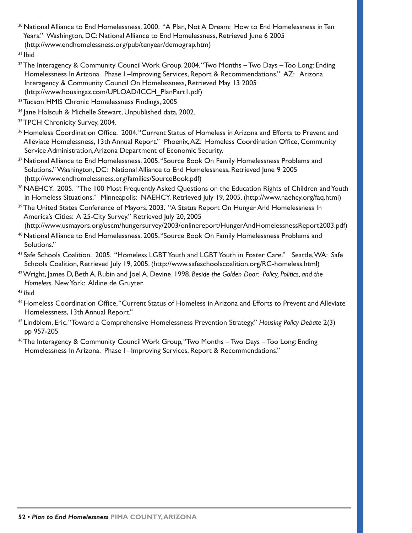- <sup>30</sup> National Alliance to End Homelessness. 2000. "A Plan, Not A Dream: How to End Homelessness in Ten Years." Washington, DC: National Alliance to End Homelessness, Retrieved June 6 2005 (http://www.endhomelessness.org/pub/tenyear/demograp.htm)
- 31 Ibid
- <sup>32</sup> The Interagency & Community Council Work Group. 2004. "Two Months Two Days Too Long: Ending Homelessness In Arizona. Phase I –Improving Services, Report & Recommendations." AZ: Arizona Interagency & Community Council On Homelessness, Retrieved May 13 2005 (http://www.housingaz.com/UPLOAD/ICCH\_PlanPart1.pdf)
- <sup>33</sup> Tucson HMIS Chronic Homelessness Findings, 2005
- <sup>34</sup> Jane Holscuh & Michelle Stewart, Unpublished data, 2002.
- <sup>35</sup> TPCH Chronicity Survey, 2004.
- <sup>36</sup> Homeless Coordination Office. 2004. "Current Status of Homeless in Arizona and Efforts to Prevent and Alleviate Homelessness, 13th Annual Report." Phoenix, AZ: Homeless Coordination Office, Community Service Administration, Arizona Department of Economic Security.
- <sup>37</sup> National Alliance to End Homelessness. 2005. "Source Book On Family Homelessness Problems and Solutions." Washington, DC: National Alliance to End Homelessness, Retrieved June 9 2005 (http://www.endhomelessness.org/families/SourceBook.pdf)
- 38 NAEHCY. 2005. "The 100 Most Frequently Asked Questions on the Education Rights of Children and Youth in Homeless Situations." Minneapolis: NAEHCY, Retrieved July 19, 2005. (http://www.naehcy.org/faq.html)
- <sup>39</sup> The United States Conference of Mayors. 2003. "A Status Report On Hunger And Homelessness In America's Cities: A 25-City Survey." Retrieved July 20, 2005 (http://www.usmayors.org/uscm/hungersurvey/2003/onlinereport/HungerAndHomelessnessReport2003.pdf)
- 40 National Alliance to End Homelessness. 2005. "Source Book On Family Homelessness Problems and Solutions."
- 41 Safe Schools Coalition. 2005. "Homeless LGBT Youth and LGBT Youth in Foster Care." Seattle, WA: Safe Schools Coalition, Retrieved July 19, 2005. (http://www.safeschoolscoalition.org/RG-homeless.html)
- 42 Wright, James D, Beth A. Rubin and Joel A. Devine. 1998. *Beside the Golden Door: Policy, Politics, and the Homeless*. New York: Aldine de Gruyter.

<sup>43</sup>*I*bid

- <sup>44</sup> Homeless Coordination Office, "Current Status of Homeless in Arizona and Efforts to Prevent and Alleviate Homelessness, 13th Annual Report."
- 45 Lindblom, Eric. "Toward a Comprehensive Homelessness Prevention Strategy." *Housing Policy Debate* 2(3) pp 957-205
- 46 The Interagency & Community Council Work Group, "Two Months Two Days Too Long: Ending Homelessness In Arizona. Phase I –Improving Services, Report & Recommendations."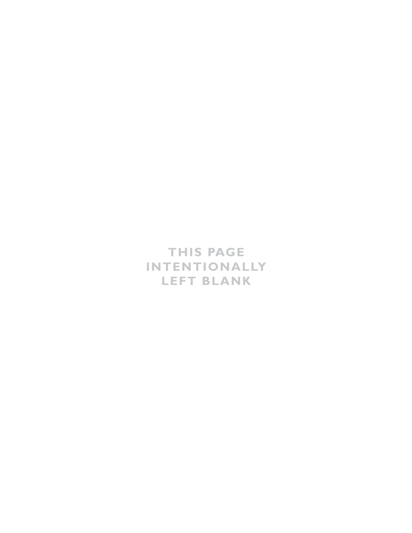**THIS PAGE INTENTIONALLY LEFT BLANK**